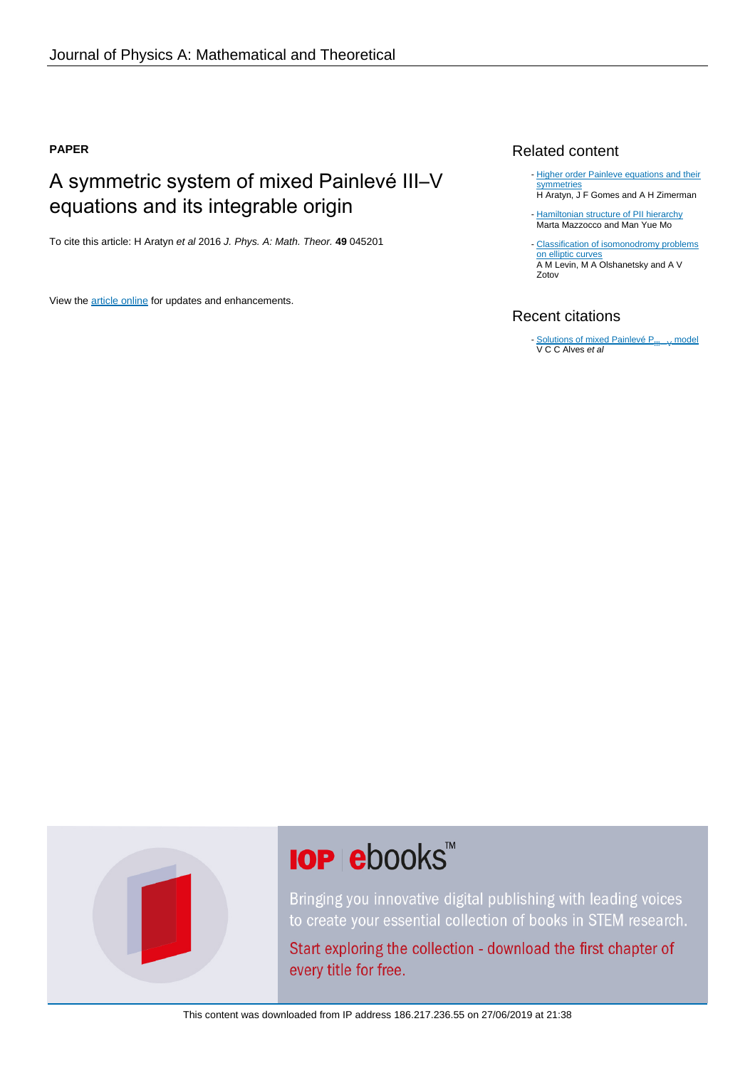## **PAPER**

## A symmetric system of mixed Painlevé III–V equations and its integrable origin

To cite this article: H Aratyn et al 2016 J. Phys. A: Math. Theor. **49** 045201

View the [article online](https://doi.org/10.1088/1751-8113/49/4/045201) for updates and enhancements.

## Related content

- [Higher order Painleve equations and their](http://iopscience.iop.org/article/10.1088/1751-8113/44/23/235202) **[symmetries](http://iopscience.iop.org/article/10.1088/1751-8113/44/23/235202)** H Aratyn, J F Gomes and A H Zimerman
- [Hamiltonian structure of PII hierarchy](http://iopscience.iop.org/article/10.1088/0951-7715/20/12/006) Marta Mazzocco and Man Yue Mo
- [Classification of isomonodromy problems](http://iopscience.iop.org/article/10.1070/RM2014v069n01ABEH004878) [on elliptic curves](http://iopscience.iop.org/article/10.1070/RM2014v069n01ABEH004878) A M Levin, M A Olshanetsky and A V Zotov

## Recent citations

- [Solutions of mixed Painlevé P](http://iopscience.iop.org/1751-8121/52/6/065203)<sub>III</sub> v [model](http://iopscience.iop.org/1751-8121/52/6/065203) V C C Alves et al

# **IOP ebooks**™

Bringing you innovative digital publishing with leading voices to create your essential collection of books in STEM research.

Start exploring the collection - download the first chapter of every title for free.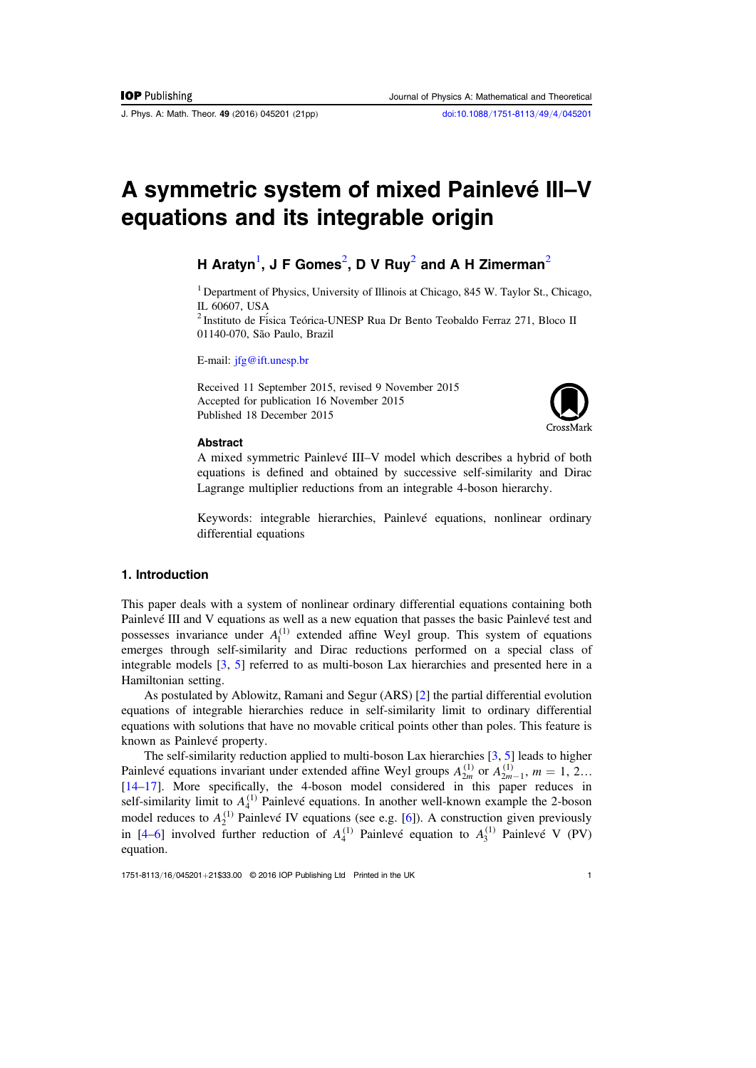J. Phys. A: Math. Theor. 49 (2016) 045201 (21pp) [doi:10.1088](http://dx.doi.org/10.1088/1751-8113/49/4/045201)/1751-8113/49/4/045201

# A symmetric system of mixed Painlevé III–V equations and its integrable origin

## H Aratyn $^1$  $^1$ , J F Gomes $^2$  $^2$ , D V Ruy $^2$  and A H Zimerman $^2$

<span id="page-1-0"></span><sup>1</sup> Department of Physics, University of Illinois at Chicago, 845 W. Taylor St., Chicago, IL 60607, USA

<span id="page-1-1"></span><sup>2</sup> Instituto de Fí sica Teórica-UNESP Rua Dr Bento Teobaldo Ferraz 271, Bloco II 01140-070, São Paulo, Brazil

E-mail: [jfg@ift.unesp.br](mailto:jfg@ift.unesp.br)

Received 11 September 2015, revised 9 November 2015 Accepted for publication 16 November 2015 Published 18 December 2015



#### Abstract

A mixed symmetric Painlevé III–V model which describes a hybrid of both equations is defined and obtained by successive self-similarity and Dirac Lagrange multiplier reductions from an integrable 4-boson hierarchy.

Keywords: integrable hierarchies, Painlevé equations, nonlinear ordinary differential equations

## 1. Introduction

This paper deals with a system of nonlinear ordinary differential equations containing both Painlevé III and V equations as well as a new equation that passes the basic Painlevé test and possesses invariance under  $A_1^{(1)}$  extended affine Weyl group. This system of equations emerges through self-similarity and Dirac reductions performed on a special class of integrable models [[3,](#page-20-0) [5](#page-20-1)] referred to as multi-boson Lax hierarchies and presented here in a Hamiltonian setting.

As postulated by Ablowitz, Ramani and Segur (ARS) [[2](#page-20-2)] the partial differential evolution equations of integrable hierarchies reduce in self-similarity limit to ordinary differential equations with solutions that have no movable critical points other than poles. This feature is known as Painlevé property.

The self-similarity reduction applied to multi-boson Lax hierarchies [[3](#page-20-0), [5](#page-20-1)] leads to higher Painlevé equations invariant under extended affine Weyl groups  $A_{2m}^{(1)}$  or  $A_{2m-1}^{(1)}$ ,  $m = 1, 2...$ [[14](#page-20-3)–[17](#page-20-4)]. More specifically, the 4-boson model considered in this paper reduces in self-similarity limit to  $A_4^{(1)}$  Painlevé equations. In another well-known example the 2-boson model reduces to  $A_2^{(1)}$  Painlevé IV equations (see e.g. [[6](#page-20-5)]). A construction given previously in [[4](#page-20-6)–[6](#page-20-5)] involved further reduction of  $A_4^{(1)}$  Painlevé equation to  $A_3^{(1)}$  Painlevé V (PV) equation.

1751-8113/16/045201+21\$33.00 © 2016 IOP Publishing Ltd Printed in the UK 1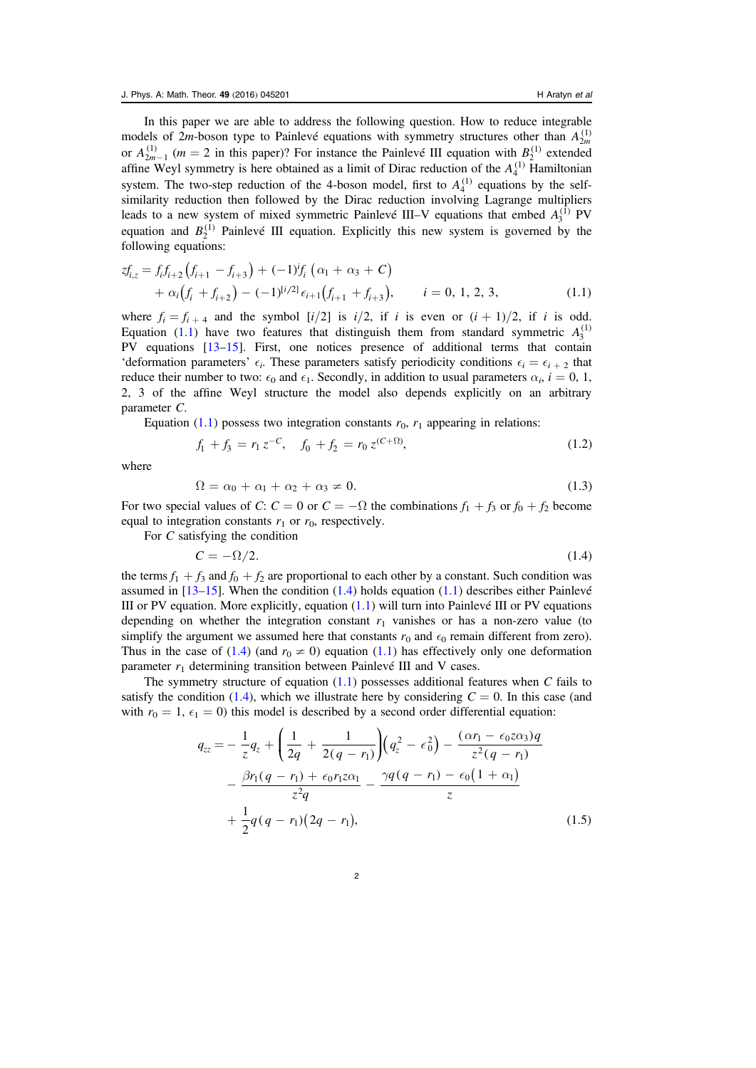In this paper we are able to address the following question. How to reduce integrable models of 2*m*-boson type to Painlevé equations with symmetry structures other than  $A_{2m}^{(1)}$ or  $A_{2m-1}^{(1)}$  ( $m = 2$  in this paper)? For instance the Painlevé III equation with  $B_2^{(1)}$  extended affine Weyl symmetry is here obtained as a limit of Dirac reduction of the  $A_4^{(1)}$  Hamiltonian system. The two-step reduction of the 4-boson model, first to  $A_4^{(1)}$  equations by the selfsimilarity reduction then followed by the Dirac reduction involving Lagrange multipliers leads to a new system of mixed symmetric Painlevé III–V equations that embed  $A_3^{(1)}$  PV equation and  $B_2^{(1)}$  Painlevé III equation. Explicitly this new system is governed by the following equations:

<span id="page-2-0"></span>
$$
zf_{i,z} = f_i f_{i+2} (f_{i+1} - f_{i+3}) + (-1)^i f_i (\alpha_1 + \alpha_3 + C)
$$
  
+  $\alpha_i (f_i + f_{i+2}) - (-1)^{[i/2]} \epsilon_{i+1} (f_{i+1} + f_{i+3}), \qquad i = 0, 1, 2, 3,$  (1.1)

where  $f_i = f_{i+4}$  and the symbol  $[i/2]$  is  $i/2$ , if i is even or  $(i + 1)/2$ , if i is odd. Equation ([1.1](#page-2-0)) have two features that distinguish them from standard symmetric  $A_3^{(1)}$ PV equations [[13](#page-20-7)–[15](#page-20-8)]. First, one notices presence of additional terms that contain 'deformation parameters'  $\epsilon_i$ . These parameters satisfy periodicity conditions  $\epsilon_i = \epsilon_{i+2}$  that reduce their number to two:  $\epsilon_0$  and  $\epsilon_1$ . Secondly, in addition to usual parameters  $\alpha_i$ ,  $i = 0, 1$ , 2, 3 of the affine Weyl structure the model also depends explicitly on an arbitrary parameter C.

<span id="page-2-3"></span>Equation ([1.1](#page-2-0)) possess two integration constants  $r_0$ ,  $r_1$  appearing in relations:

$$
f_1 + f_3 = r_1 z^{-C}, \quad f_0 + f_2 = r_0 z^{(C+\Omega)}, \tag{1.2}
$$

where

$$
\Omega = \alpha_0 + \alpha_1 + \alpha_2 + \alpha_3 \neq 0. \tag{1.3}
$$

For two special values of C:  $C = 0$  or  $C = -\Omega$  the combinations  $f_1 + f_3$  or  $f_0 + f_2$  become equal to integration constants  $r_1$  or  $r_0$ , respectively.

<span id="page-2-1"></span>For C satisfying the condition

$$
C = -\Omega/2. \tag{1.4}
$$

the terms  $f_1 + f_3$  and  $f_0 + f_2$  are proportional to each other by a constant. Such condition was assumed in  $[13–15]$  $[13–15]$  $[13–15]$  $[13–15]$  $[13–15]$ . When the condition  $(1.4)$  $(1.4)$  $(1.4)$  holds equation  $(1.1)$  $(1.1)$  $(1.1)$  describes either Painlevé III or PV equation. More explicitly, equation  $(1.1)$  $(1.1)$  $(1.1)$  will turn into Painlevé III or PV equations depending on whether the integration constant  $r_1$  vanishes or has a non-zero value (to simplify the argument we assumed here that constants  $r_0$  and  $\epsilon_0$  remain different from zero). Thus in the case of ([1.4](#page-2-1)) (and  $r_0 \neq 0$ ) equation ([1.1](#page-2-0)) has effectively only one deformation parameter  $r_1$  determining transition between Painlevé III and V cases.

<span id="page-2-2"></span>The symmetry structure of equation  $(1.1)$  $(1.1)$  $(1.1)$  possesses additional features when C fails to satisfy the condition ([1.4](#page-2-1)), which we illustrate here by considering  $C = 0$ . In this case (and with  $r_0 = 1$ ,  $\epsilon_1 = 0$ ) this model is described by a second order differential equation:

$$
q_{zz} = -\frac{1}{z}q_z + \left(\frac{1}{2q} + \frac{1}{2(q - r_1)}\right)\left(q_z^2 - \epsilon_0^2\right) - \frac{(\alpha r_1 - \epsilon_0 z \alpha_3)q}{z^2(q - r_1)} - \frac{\beta r_1 (q - r_1) + \epsilon_0 r_1 z \alpha_1}{z^2 q} - \frac{\gamma q (q - r_1) - \epsilon_0 (1 + \alpha_1)}{z} + \frac{1}{2}q(q - r_1)(2q - r_1), \tag{1.5}
$$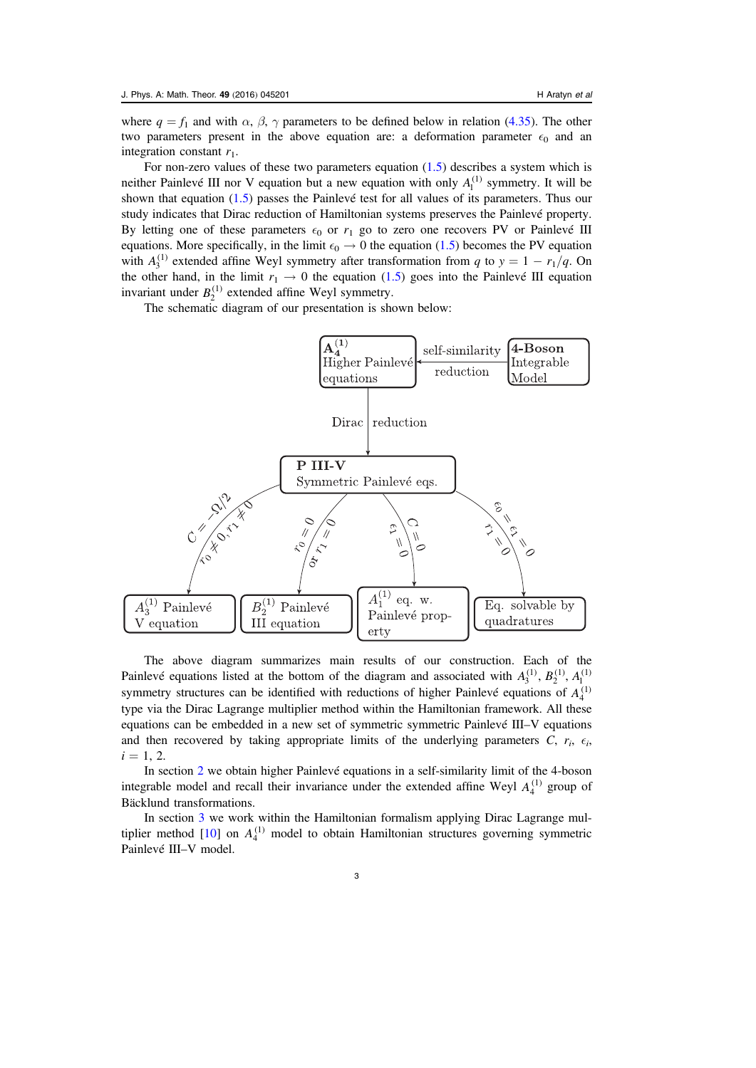where  $q = f_1$  and with  $\alpha$ ,  $\beta$ ,  $\gamma$  parameters to be defined below in relation ([4.35](#page-18-0)). The other two parameters present in the above equation are: a deformation parameter  $\epsilon_0$  and an integration constant  $r_1$ .

For non-zero values of these two parameters equation  $(1.5)$  $(1.5)$  $(1.5)$  describes a system which is neither Painlevé III nor V equation but a new equation with only  $A_1^{(1)}$  symmetry. It will be shown that equation ([1.5](#page-2-2)) passes the Painlevé test for all values of its parameters. Thus our study indicates that Dirac reduction of Hamiltonian systems preserves the Painlevé property. By letting one of these parameters  $\epsilon_0$  or  $r_1$  go to zero one recovers PV or Painlevé III equations. More specifically, in the limit  $\epsilon_0 \rightarrow 0$  the equation ([1.5](#page-2-2)) becomes the PV equation with  $A_3^{(1)}$  extended affine Weyl symmetry after transformation from q to  $y = 1 - r_1/q$ . On the other hand, in the limit  $r_1 \rightarrow 0$  the equation ([1.5](#page-2-2)) goes into the Painlevé III equation invariant under  $B_2^{(1)}$  extended affine Weyl symmetry.

The schematic diagram of our presentation is shown below:



The above diagram summarizes main results of our construction. Each of the Painlevé equations listed at the bottom of the diagram and associated with  $A_3^{(1)}$ ,  $B_2^{(1)}$ ,  $A_1^{(1)}$ symmetry structures can be identified with reductions of higher Painlevé equations of  $A_4^{(1)}$ type via the Dirac Lagrange multiplier method within the Hamiltonian framework. All these equations can be embedded in a new set of symmetric symmetric Painlevé III–V equations and then recovered by taking appropriate limits of the underlying parameters  $C$ ,  $r_i$ ,  $\epsilon_i$ ,  $i = 1, 2.$ 

In section [2](#page-4-0) we obtain higher Painlevé equations in a self-similarity limit of the 4-boson integrable model and recall their invariance under the extended affine Weyl  $A_4^{(1)}$  group of Bäcklund transformations.

In section [3](#page-6-0) we work within the Hamiltonian formalism applying Dirac Lagrange multiplier method  $[10]$  $[10]$  $[10]$  on  $A_4^{(1)}$  model to obtain Hamiltonian structures governing symmetric Painlevé III–V model.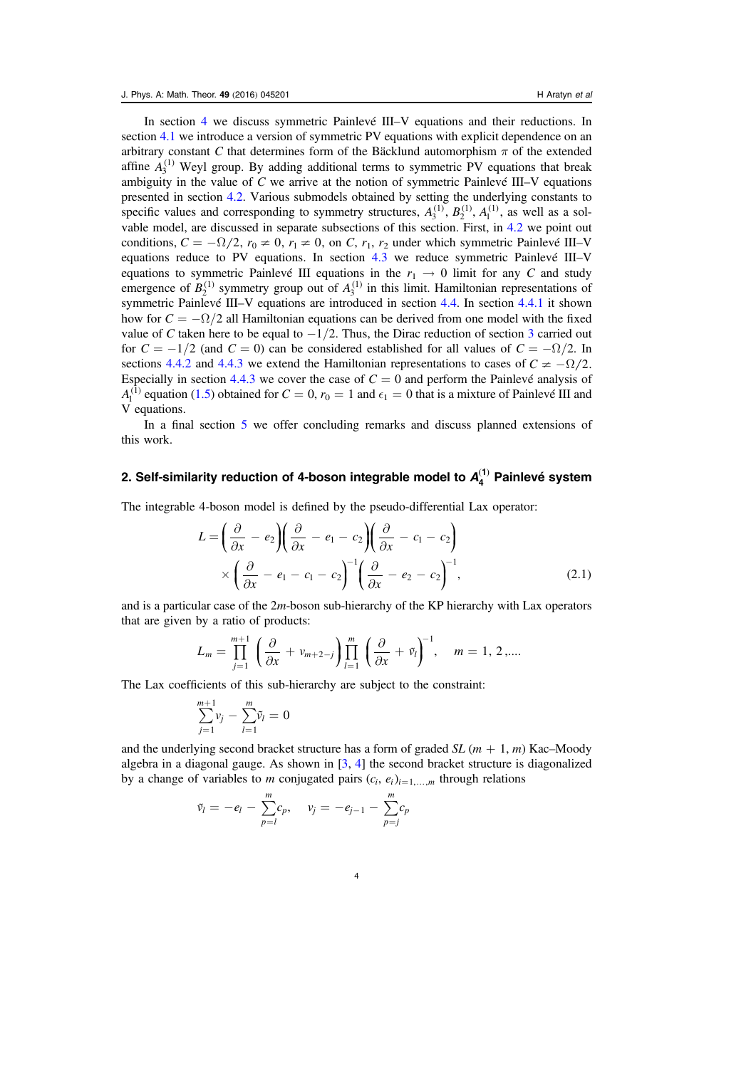In section [4](#page-10-0) we discuss symmetric Painlevé III–V equations and their reductions. In section [4.1](#page-10-1) we introduce a version of symmetric PV equations with explicit dependence on an arbitrary constant C that determines form of the Bäcklund automorphism  $\pi$  of the extended affine  $A_3^{(1)}$  Weyl group. By adding additional terms to symmetric PV equations that break ambiguity in the value of  $C$  we arrive at the notion of symmetric Painlevé III–V equations presented in section [4.2](#page-11-0). Various submodels obtained by setting the underlying constants to specific values and corresponding to symmetry structures,  $A_3^{(1)}$ ,  $B_2^{(1)}$ ,  $A_1^{(1)}$ , as well as a solvable model, are discussed in separate subsections of this section. First, in [4.2](#page-11-0) we point out conditions,  $C = -\Omega/2$ ,  $r_0 \neq 0$ ,  $r_1 \neq 0$ , on C,  $r_1$ ,  $r_2$  under which symmetric Painlevé III–V equations reduce to PV equations. In section [4.3](#page-12-0) we reduce symmetric Painlevé III–V equations to symmetric Painlevé III equations in the  $r_1 \rightarrow 0$  limit for any C and study emergence of  $B_2^{(1)}$  symmetry group out of  $A_3^{(1)}$  in this limit. Hamiltonian representations of symmetric Painlevé III–V equations are introduced in section [4.4.](#page-14-0) In section [4.4.1](#page-15-0) it shown how for  $C = -\Omega/2$  all Hamiltonian equations can be derived from one model with the fixed value of C taken here to be equal to  $-1/2$ . Thus, the Dirac reduction of section [3](#page-6-0) carried out for  $C = -1/2$  (and  $C = 0$ ) can be considered established for all values of  $C = -\Omega/2$ . In sections [4.4.2](#page-16-0) and [4.4.3](#page-17-0) we extend the Hamiltonian representations to cases of  $C \neq -\Omega/2$ . Especially in section [4.4.3](#page-17-0) we cover the case of  $C = 0$  and perform the Painlevé analysis of  $A<sub>1</sub><sup>(1)</sup>$  equation ([1.5](#page-2-2)) obtained for  $C = 0$ ,  $r_0 = 1$  and  $\epsilon_1 = 0$  that is a mixture of Painlevé III and V equations.

In a final section [5](#page-19-0) we offer concluding remarks and discuss planned extensions of this work.

## <span id="page-4-0"></span>2. Self-similarity reduction of 4-boson integrable model to  ${\boldsymbol{A}}_4^{(1)}$  Painlevé system

The integrable 4-boson model is defined by the pseudo-differential Lax operator:

$$
L = \left(\frac{\partial}{\partial x} - e_2\right) \left(\frac{\partial}{\partial x} - e_1 - c_2\right) \left(\frac{\partial}{\partial x} - c_1 - c_2\right)
$$

$$
\times \left(\frac{\partial}{\partial x} - e_1 - c_1 - c_2\right)^{-1} \left(\frac{\partial}{\partial x} - e_2 - c_2\right)^{-1},\tag{2.1}
$$

and is a particular case of the 2m-boson sub-hierarchy of the KP hierarchy with Lax operators that are given by a ratio of products:

$$
L_m = \prod_{j=1}^{m+1} \left( \frac{\partial}{\partial x} + v_{m+2-j} \right) \prod_{l=1}^m \left( \frac{\partial}{\partial x} + \tilde{v}_l \right)^{-1}, \quad m = 1, 2, \dots
$$

The Lax coefficients of this sub-hierarchy are subject to the constraint:

$$
\sum_{j=1}^{m+1} v_j - \sum_{l=1}^m \tilde{v}_l = 0
$$

and the underlying second bracket structure has a form of graded  $SL(m + 1, m)$  Kac–Moody algebra in a diagonal gauge. As shown in  $[3, 4]$  $[3, 4]$  $[3, 4]$  $[3, 4]$  $[3, 4]$  the second bracket structure is diagonalized by a change of variables to *m* conjugated pairs  $(c_i, e_i)_{i=1,\dots,m}$  through relations

$$
\tilde{v}_l = -e_l - \sum_{p=l}^{m} c_p, \quad v_j = -e_{j-1} - \sum_{p=j}^{m} c_p
$$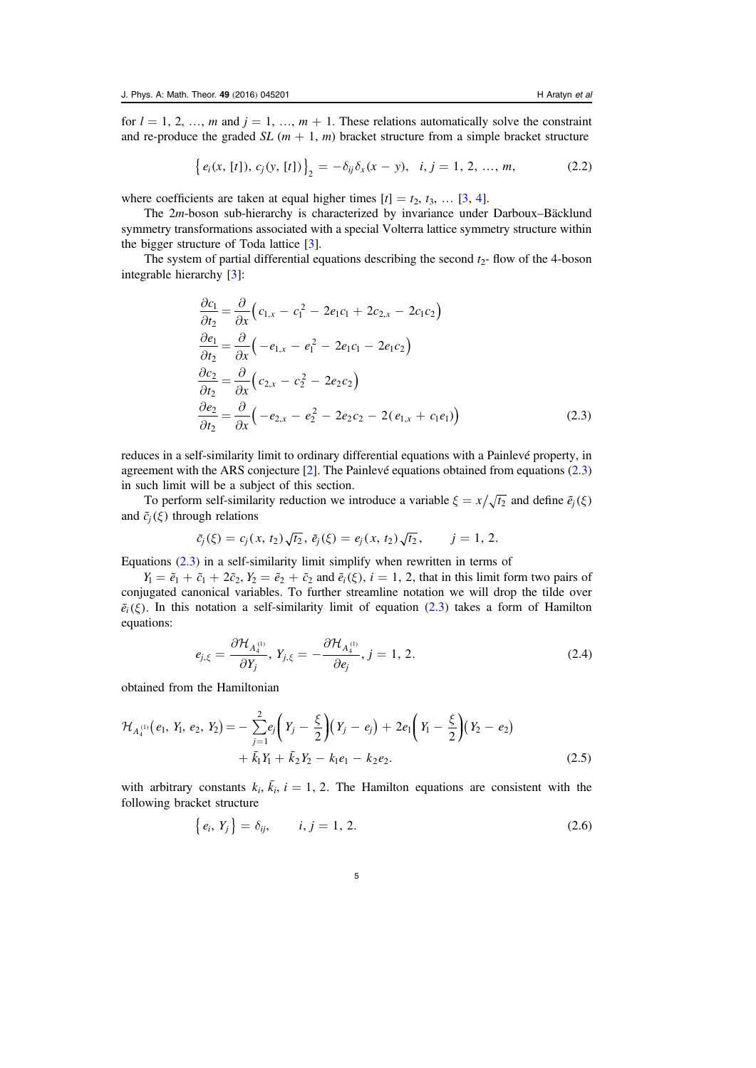for  $l = 1, 2, ..., m$  and  $j = 1, ..., m + 1$ . These relations automatically solve the constraint and re-produce the graded  $SL(m + 1, m)$  bracket structure from a simple bracket structure

$$
\left\{ e_i(x, [t]), c_j(y, [t]) \right\}_2 = -\delta_{ij}\delta_x(x - y), \quad i, j = 1, 2, ..., m,
$$
 (2.2)

where coefficients are taken at equal higher times  $[t] = t_2, t_3, \dots [3, 4]$  $[t] = t_2, t_3, \dots [3, 4]$  $[t] = t_2, t_3, \dots [3, 4]$  $[t] = t_2, t_3, \dots [3, 4]$  $[t] = t_2, t_3, \dots [3, 4]$ .

The 2m-boson sub-hierarchy is characterized by invariance under Darboux–Bäcklund symmetry transformations associated with a special Volterra lattice symmetry structure within the bigger structure of Toda lattice  $\lceil 3 \rceil$  $\lceil 3 \rceil$  $\lceil 3 \rceil$ .

<span id="page-5-0"></span>The system of partial differential equations describing the second  $t_{2}$ -flow of the 4-boson integrable hierarchy [[3](#page-20-0)]:

$$
\frac{\partial c_1}{\partial t_2} = \frac{\partial}{\partial x} \Big( c_{1,x} - c_1^2 - 2e_1c_1 + 2c_{2,x} - 2c_1c_2 \Big)
$$
  
\n
$$
\frac{\partial e_1}{\partial t_2} = \frac{\partial}{\partial x} \Big( -e_{1,x} - e_1^2 - 2e_1c_1 - 2e_1c_2 \Big)
$$
  
\n
$$
\frac{\partial c_2}{\partial t_2} = \frac{\partial}{\partial x} \Big( c_{2,x} - c_2^2 - 2e_2c_2 \Big)
$$
  
\n
$$
\frac{\partial e_2}{\partial t_2} = \frac{\partial}{\partial x} \Big( -e_{2,x} - e_2^2 - 2e_2c_2 - 2(e_{1,x} + c_1e_1) \Big)
$$
\n(2.3)

reduces in a self-similarity limit to ordinary differential equations with a Painlevé property, in agreement with the ARS conjecture [[2](#page-20-2)]. The Painlevé equations obtained from equations ([2.3](#page-5-0)) in such limit will be a subject of this section.

To perform self-similarity reduction we introduce a variable  $\xi = x/\sqrt{t_2}$  and define  $\tilde{e}_j(\xi)$ and  $\tilde{c}_i(\xi)$  through relations

$$
\tilde{c}_j(\xi) = c_j(x, t_2) \sqrt{t_2}, \tilde{e}_j(\xi) = e_j(x, t_2) \sqrt{t_2}, \qquad j = 1, 2.
$$

Equations  $(2.3)$  $(2.3)$  $(2.3)$  in a self-similarity limit simplify when rewritten in terms of

 $Y_1 = \tilde{e}_1 + \tilde{c}_1 + 2\tilde{c}_2$ ,  $Y_2 = \tilde{e}_2 + \tilde{c}_2$  and  $\tilde{e}_i(\xi)$ ,  $i = 1, 2$ , that in this limit form two pairs of conjugated canonical variables. To further streamline notation we will drop the tilde over  $\tilde{e}_i(\xi)$ . In this notation a self-similarity limit of equation ([2.3](#page-5-0)) takes a form of Hamilton equations:

$$
e_{j,\xi} = \frac{\partial \mathcal{H}_{A_4^{(1)}}}{\partial Y_j}, Y_{j,\xi} = -\frac{\partial \mathcal{H}_{A_4^{(1)}}}{\partial e_j}, j = 1, 2.
$$
 (2.4)

<span id="page-5-1"></span>obtained from the Hamiltonian

$$
\mathcal{H}_{A_4^{(1)}}(e_1, Y_1, e_2, Y_2) = -\sum_{j=1}^2 e_j \left( Y_j - \frac{\xi}{2} \right) \left( Y_j - e_j \right) + 2e_1 \left( Y_1 - \frac{\xi}{2} \right) \left( Y_2 - e_2 \right) \n+ \bar{k}_1 Y_1 + \bar{k}_2 Y_2 - k_1 e_1 - k_2 e_2.
$$
\n(2.5)

with arbitrary constants  $k_i$ ,  $\bar{k}_i$ ,  $i = 1, 2$ . The Hamilton equations are consistent with the following bracket structure

$$
\{e_i, Y_j\} = \delta_{ij}, \qquad i, j = 1, 2. \tag{2.6}
$$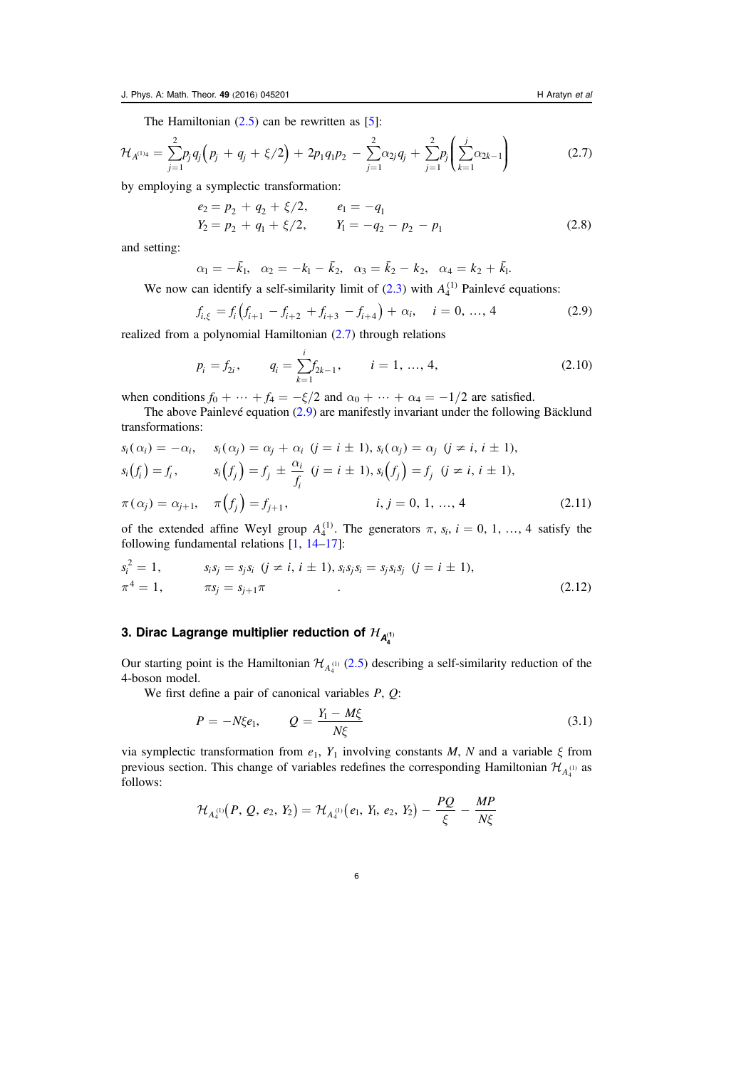<span id="page-6-1"></span>The Hamiltonian  $(2.5)$  $(2.5)$  $(2.5)$  can be rewritten as [[5](#page-20-1)]:

$$
\mathcal{H}_{A^{(1)}4} = \sum_{j=1}^{2} p_j q_j \left( p_j + q_j + \xi/2 \right) + 2p_1 q_1 p_2 - \sum_{j=1}^{2} \alpha_{2j} q_j + \sum_{j=1}^{2} p_j \left( \sum_{k=1}^{j} \alpha_{2k-1} \right) \tag{2.7}
$$

by employing a symplectic transformation:

$$
e_2 = p_2 + q_2 + \xi/2, \qquad e_1 = -q_1
$$
  
\n
$$
Y_2 = p_2 + q_1 + \xi/2, \qquad Y_1 = -q_2 - p_2 - p_1
$$
\n(2.8)

and setting:

 $\alpha_1 = -\bar{k}_1, \quad \alpha_2 = -k_1 - \bar{k}_2, \quad \alpha_3 = \bar{k}_2 - k_2, \quad \alpha_4 = k_2 + \bar{k}_1.$ 

<span id="page-6-2"></span>We now can identify a self-similarity limit of  $(2.3)$  $(2.3)$  $(2.3)$  with  $A_4^{(1)}$  Painlevé equations:

$$
f_{i,\xi} = f_i \left( f_{i+1} - f_{i+2} + f_{i+3} - f_{i+4} \right) + \alpha_i, \quad i = 0, ..., 4
$$
 (2.9)

realized from a polynomial Hamiltonian ([2.7](#page-6-1)) through relations

$$
p_i = f_{2i}, \qquad q_i = \sum_{k=1}^i f_{2k-1}, \qquad i = 1, ..., 4,
$$
\n(2.10)

when conditions  $f_0 + \dots + f_4 = -\xi/2$  and  $\alpha_0 + \dots + \alpha_4 = -1/2$  are satisfied.

<span id="page-6-3"></span>The above Painlevé equation ([2.9](#page-6-2)) are manifestly invariant under the following Bäcklund transformations:

$$
s_i(\alpha_i) = -\alpha_i, \quad s_i(\alpha_j) = \alpha_j + \alpha_i \ (j = i \pm 1), \ s_i(\alpha_j) = \alpha_j \ (j \neq i, i \pm 1), s_i(f_i) = f_i, \quad s_i(f_j) = f_j \pm \frac{\alpha_i}{f_i} \ (j = i \pm 1), \ s_i(f_j) = f_j \ (j \neq i, i \pm 1), \pi(\alpha_j) = \alpha_{j+1}, \quad \pi(f_j) = f_{j+1}, \quad i, j = 0, 1, ..., 4
$$
\n(2.11)

<span id="page-6-4"></span>of the extended affine Weyl group  $A_4^{(1)}$ . The generators  $\pi$ ,  $s_i$ ,  $i = 0, 1, ..., 4$  satisfy the following fundamental relations [[1](#page-20-10), [14](#page-20-3)–[17](#page-20-4)]:

$$
s_i^2 = 1, \t s_i s_j = s_j s_i \t (j \neq i, i \pm 1), s_i s_j s_i = s_j s_i s_j \t (j = i \pm 1),
$$
  

$$
\pi^4 = 1, \t \pi s_j = s_{j+1} \pi \t (2.12)
$$

## <span id="page-6-0"></span>3. Dirac Lagrange multiplier reduction of  $\mathcal{H}_{\mathcal{A}_4^{(1)}}$

Our starting point is the Hamiltonian  $\mathcal{H}_{A_4^{(1)}}(2.5)$  $\mathcal{H}_{A_4^{(1)}}(2.5)$  $\mathcal{H}_{A_4^{(1)}}(2.5)$  describing a self-similarity reduction of the 4-boson model.

We first define a pair of canonical variables  $P$ ,  $Q$ :

$$
P = -N\xi e_1, \qquad Q = \frac{Y_1 - M\xi}{N\xi} \tag{3.1}
$$

via symplectic transformation from  $e_1$ ,  $Y_1$  involving constants M, N and a variable  $\xi$  from previous section. This change of variables redefines the corresponding Hamiltonian  $\mathcal{H}_{A_{\alpha}^{(1)}}$  as follows:

$$
\mathcal{H}_{A_4^{(1)}}(P, Q, e_2, Y_2) = \mathcal{H}_{A_4^{(1)}}(e_1, Y_1, e_2, Y_2) - \frac{PQ}{\xi} - \frac{MP}{N\xi}
$$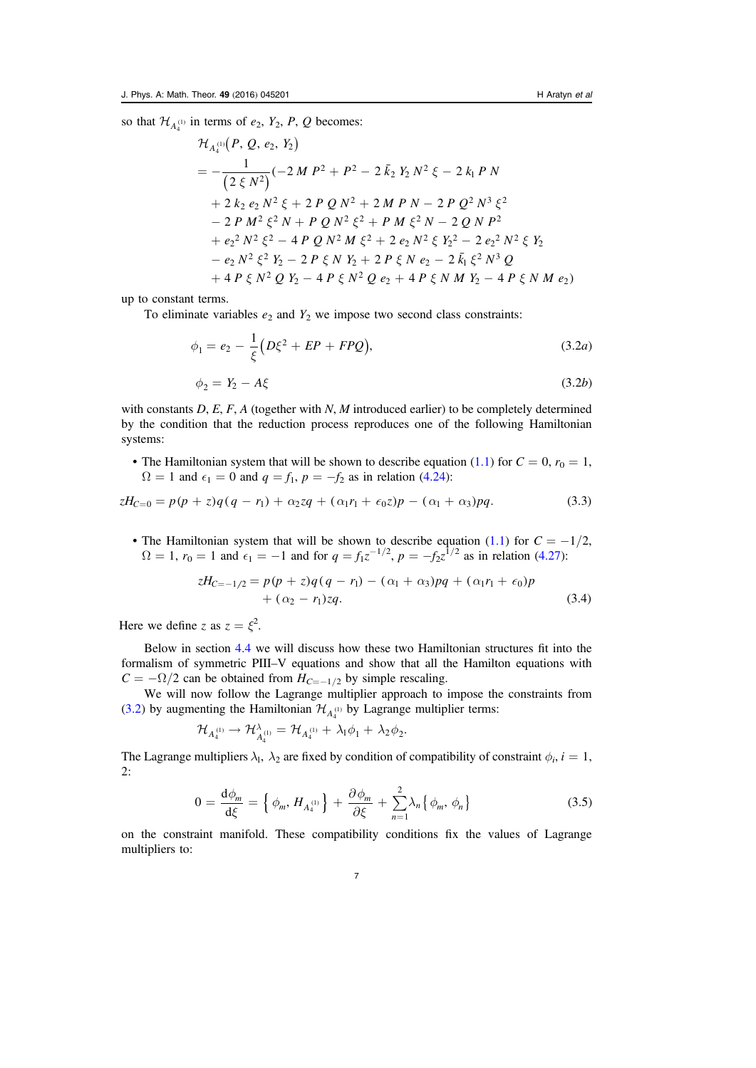so that  $\mathcal{H}_{A_4^{(1)}}$  in terms of  $e_2$ ,  $Y_2$ ,  $P$ ,  $Q$  becomes:

$$
\mathcal{H}_{A_4^{(1)}}(P, Q, e_2, Y_2)
$$
\n
$$
= -\frac{1}{(2 \xi N^2)} (-2 M P^2 + P^2 - 2 \bar{k}_2 Y_2 N^2 \xi - 2 k_1 P N
$$
\n
$$
+ 2 k_2 e_2 N^2 \xi + 2 P Q N^2 + 2 M P N - 2 P Q^2 N^3 \xi^2
$$
\n
$$
- 2 P M^2 \xi^2 N + P Q N^2 \xi^2 + P M \xi^2 N - 2 Q N P^2
$$
\n
$$
+ e_2^2 N^2 \xi^2 - 4 P Q N^2 M \xi^2 + 2 e_2 N^2 \xi Y_2^2 - 2 e_2^2 N^2 \xi Y_2
$$
\n
$$
- e_2 N^2 \xi^2 Y_2 - 2 P \xi N Y_2 + 2 P \xi N e_2 - 2 \bar{k}_1 \xi^2 N^3 Q
$$
\n
$$
+ 4 P \xi N^2 Q Y_2 - 4 P \xi N^2 Q e_2 + 4 P \xi N M Y_2 - 4 P \xi N M e_2)
$$

<span id="page-7-0"></span>up to constant terms.

To eliminate variables  $e_2$  and  $Y_2$  we impose two second class constraints:

$$
\phi_1 = e_2 - \frac{1}{\xi} \left( D\xi^2 + EP + FPQ \right),\tag{3.2a}
$$

$$
\phi_2 = Y_2 - A\xi \tag{3.2b}
$$

with constants  $D, E, F, A$  (together with  $N, M$  introduced earlier) to be completely determined by the condition that the reduction process reproduces one of the following Hamiltonian systems:

<span id="page-7-1"></span>• The Hamiltonian system that will be shown to describe equation ([1.1](#page-2-0)) for  $C = 0$ ,  $r_0 = 1$ ,  $\Omega = 1$  and  $\epsilon_1 = 0$  and  $q = f_1$ ,  $p = -f_2$  as in relation ([4.24](#page-14-1)):

$$
zH_{C=0} = p(p+z)q(q-r_1) + \alpha_2 zq + (\alpha_1 r_1 + \epsilon_0 z)p - (\alpha_1 + \alpha_3)pq.
$$
 (3.3)

<span id="page-7-2"></span>• The Hamiltonian system that will be shown to describe equation ([1.1](#page-2-0)) for  $C = -1/2$ ,  $\Omega = 1$ ,  $r_0 = 1$  and  $\epsilon_1 = -1$  and for  $q = f_1 z^{-1/2}$ ,  $p = -f_2 z^{1/2}$  as in relation ([4.27](#page-15-1)):

$$
zH_{C=-1/2} = p(p+z)q(q-r_1) - (\alpha_1 + \alpha_3)pq + (\alpha_1r_1 + \epsilon_0)p + (\alpha_2 - r_1)zq.
$$
\n(3.4)

Here we define z as  $z = \xi^2$ .

Below in section [4.4](#page-14-0) we will discuss how these two Hamiltonian structures fit into the formalism of symmetric PIII–V equations and show that all the Hamilton equations with  $C = -\Omega/2$  can be obtained from  $H_{C=-1/2}$  by simple rescaling.

We will now follow the Lagrange multiplier approach to impose the constraints from ([3.2](#page-7-0)) by augmenting the Hamiltonian  $\mathcal{H}_{A_4^{(1)}}$  by Lagrange multiplier terms:

$$
\mathcal{H}_{A_4^{(1)}} \to \mathcal{H}_{A_4^{(1)}}^{\lambda} = \mathcal{H}_{A_4^{(1)}} + \lambda_1 \phi_1 + \lambda_2 \phi_2.
$$

The Lagrange multipliers  $\lambda_1$ ,  $\lambda_2$  are fixed by condition of compatibility of constraint  $\phi_i$ ,  $i = 1$ , 2:

$$
0 = \frac{\mathrm{d}\phi_m}{\mathrm{d}\xi} = \left\{ \phi_m, H_{A_4^{(1)}} \right\} + \frac{\partial \phi_m}{\partial \xi} + \sum_{n=1}^2 \lambda_n \left\{ \phi_m, \phi_n \right\} \tag{3.5}
$$

on the constraint manifold. These compatibility conditions fix the values of Lagrange multipliers to: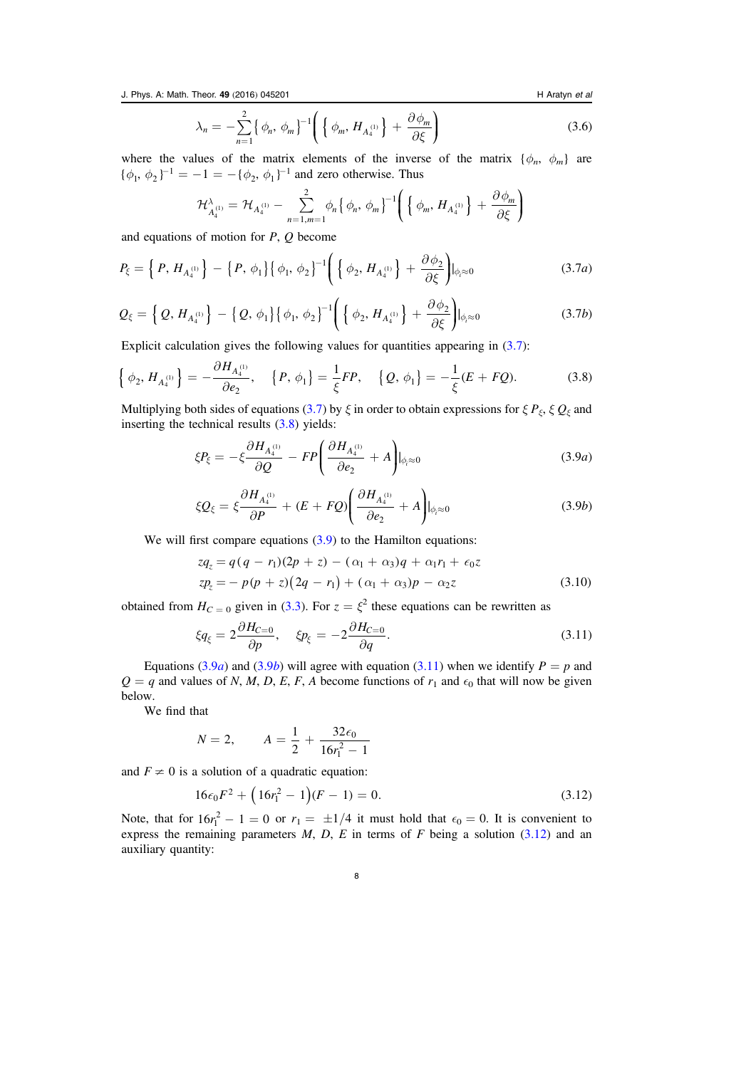J. Phys. A: Math. Theor. 49 (2016) 045201 **H** Aratyn et al. **H** Aratyn et al.

$$
\lambda_n = -\sum_{n=1}^2 \left\{ \phi_n, \phi_m \right\}^{-1} \left( \left\{ \phi_m, H_{A_4^{(1)}} \right\} + \frac{\partial \phi_m}{\partial \xi} \right) \tag{3.6}
$$

where the values of the matrix elements of the inverse of the matrix  $\{\phi_n, \phi_m\}$  are  $\{\phi_1, \phi_2\}^{-1} = -1 = -\{\phi_2, \phi_1\}^{-1}$  and zero otherwise. Thus

$$
\mathcal{H}_{A_4^{(1)}}^{\lambda} = \mathcal{H}_{A_4^{(1)}} - \sum_{n=1,m=1}^{2} \phi_n \{ \phi_n, \phi_m \}^{-1} \left( \{ \phi_m, H_{A_4^{(1)}} \} + \frac{\partial \phi_m}{\partial \xi} \right)
$$

<span id="page-8-0"></span>and equations of motion for  $P$ ,  $Q$  become

$$
P_{\xi} = \left\{ P, H_{A_4^{(1)}} \right\} - \left\{ P, \phi_1 \right\} \left\{ \phi_1, \phi_2 \right\}^{-1} \left( \left\{ \phi_2, H_{A_4^{(1)}} \right\} + \frac{\partial \phi_2}{\partial \xi} \right) \Big|_{\phi_i \approx 0}
$$
 (3.7*a*)

$$
Q_{\xi} = \left\{ Q, H_{A_4^{(1)}} \right\} - \left\{ Q, \phi_1 \right\} \left\{ \phi_1, \phi_2 \right\}^{-1} \left( \left\{ \phi_2, H_{A_4^{(1)}} \right\} + \frac{\partial \phi_2}{\partial \xi} \right) \big|_{\phi_i \approx 0}
$$
 (3.7b)

<span id="page-8-1"></span>Explicit calculation gives the following values for quantities appearing in ([3.7](#page-8-0)):

$$
\left\{\phi_2, H_{A_4^{(1)}}\right\} = -\frac{\partial H_{A_4^{(1)}}}{\partial e_2}, \quad \left\{P, \phi_1\right\} = \frac{1}{\xi}FP, \quad \left\{Q, \phi_1\right\} = -\frac{1}{\xi}(E + FQ). \tag{3.8}
$$

<span id="page-8-2"></span>Multiplying both sides of equations ([3.7](#page-8-0)) by  $\xi$  in order to obtain expressions for  $\xi P_{\xi}$ ,  $\xi Q_{\xi}$  and inserting the technical results ([3.8](#page-8-1)) yields:

$$
\xi P_{\xi} = -\xi \frac{\partial H_{A_4^{(1)}}}{\partial Q} - FP \left( \frac{\partial H_{A_4^{(1)}}}{\partial e_2} + A \right) \Big|_{\phi_i \approx 0} \tag{3.9a}
$$

$$
\xi Q_{\xi} = \xi \frac{\partial H_{A_4^{(1)}}}{\partial P} + (E + FQ) \left( \frac{\partial H_{A_4^{(1)}}}{\partial e_2} + A \right) \Big|_{\phi_i \approx 0} \tag{3.9b}
$$

<span id="page-8-6"></span><span id="page-8-3"></span>We will first compare equations  $(3.9)$  $(3.9)$  $(3.9)$  to the Hamilton equations:

$$
zq_z = q(q - r_1)(2p + z) - (\alpha_1 + \alpha_3)q + \alpha_1 r_1 + \epsilon_0 z
$$
  
\n
$$
zp_z = -p(p + z)(2q - r_1) + (\alpha_1 + \alpha_3)p - \alpha_2 z
$$
\n(3.10)

<span id="page-8-4"></span>obtained from  $H_{C=0}$  given in ([3.3](#page-7-1)). For  $z = \xi^2$  these equations can be rewritten as

$$
\xi q_{\xi} = 2 \frac{\partial H_{C=0}}{\partial p}, \quad \xi p_{\xi} = -2 \frac{\partial H_{C=0}}{\partial q}.
$$
\n(3.11)

Equations ([3.9](#page-8-3)*a*) and (3.9*b*) will agree with equation ([3.11](#page-8-4)) when we identify  $P = p$  and  $Q = q$  and values of N, M, D, E, F, A become functions of  $r_1$  and  $\epsilon_0$  that will now be given below.

We find that

$$
N = 2, \qquad A = \frac{1}{2} + \frac{32\epsilon_0}{16r_1^2 - 1}
$$

<span id="page-8-5"></span>and  $F \neq 0$  is a solution of a quadratic equation:

$$
16\epsilon_0 F^2 + (16r_1^2 - 1)(F - 1) = 0.
$$
\n(3.12)

Note, that for  $16r_1^2 - 1 = 0$  or  $r_1 = \pm 1/4$  it must hold that  $\epsilon_0 = 0$ . It is convenient to express the remaining parameters  $M$ ,  $D$ ,  $E$  in terms of  $F$  being a solution ([3.12](#page-8-5)) and an auxiliary quantity: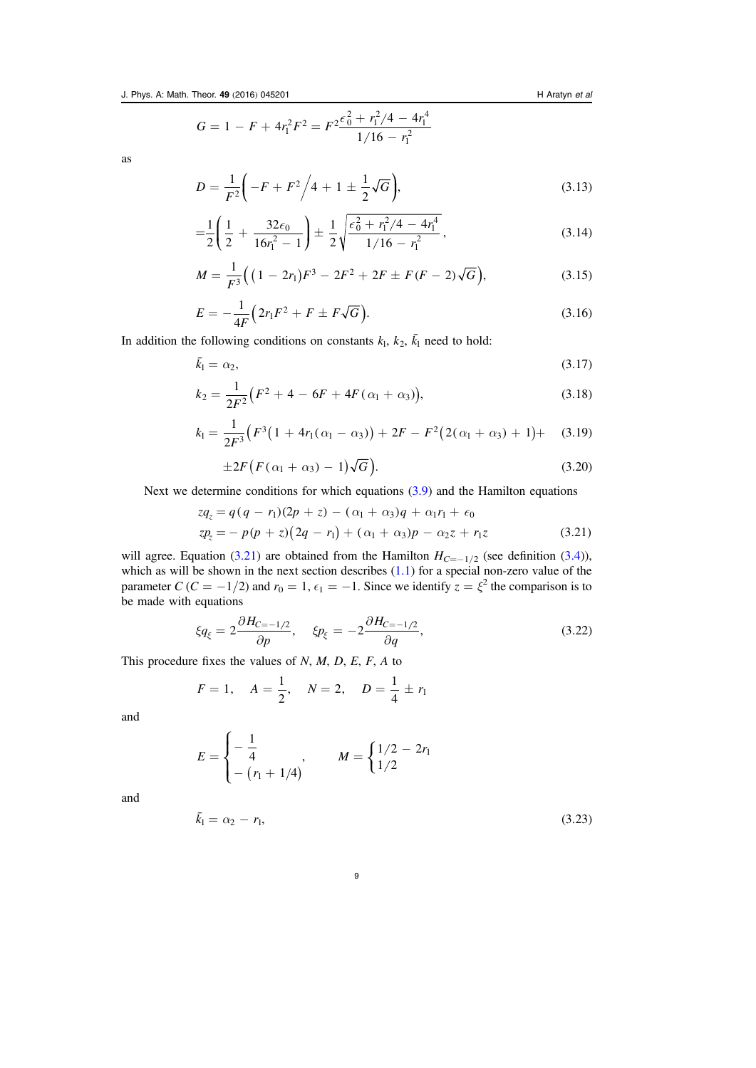$$
G = 1 - F + 4r_1^2F^2 = F^2 \frac{\epsilon_0^2 + r_1^2/4 - 4r_1^4}{1/16 - r_1^2}
$$

as

$$
D = \frac{1}{F^2} \left( -F + F^2 \right) / 4 + 1 \pm \frac{1}{2} \sqrt{G} \bigg),\tag{3.13}
$$

$$
=\frac{1}{2}\left(\frac{1}{2}+\frac{32\epsilon_0}{16r_1^2-1}\right)\pm\frac{1}{2}\sqrt{\frac{\epsilon_0^2+r_1^2/4-4r_1^4}{1/16-r_1^2}},\tag{3.14}
$$

$$
M = \frac{1}{F^3} \Big( \big( 1 - 2r_1 \big) F^3 - 2F^2 + 2F \pm F(F - 2) \sqrt{G} \Big), \tag{3.15}
$$

$$
E = -\frac{1}{4F} \left( 2r_1 F^2 + F \pm F \sqrt{G} \right).
$$
 (3.16)

In addition the following conditions on constants  $k_1$ ,  $k_2$ ,  $\overline{k_1}$  need to hold:

$$
\bar{k}_1 = \alpha_2,\tag{3.17}
$$

$$
k_2 = \frac{1}{2F^2} \left( F^2 + 4 - 6F + 4F(\alpha_1 + \alpha_3) \right),\tag{3.18}
$$

$$
k_1 = \frac{1}{2F^3} \Big( F^3 \big( 1 + 4r_1(\alpha_1 - \alpha_3) \big) + 2F - F^2 \big( 2(\alpha_1 + \alpha_3) + 1 \big) + \quad (3.19)
$$

$$
\pm 2F\big(F(\alpha_1+\alpha_3)-1\big)\sqrt{G}\big). \tag{3.20}
$$

<span id="page-9-0"></span>Next we determine conditions for which equations ([3.9](#page-8-2)) and the Hamilton equations

$$
zq_z = q(q - r_1)(2p + z) - (\alpha_1 + \alpha_3)q + \alpha_1 r_1 + \epsilon_0
$$
  
\n
$$
zp_z = -p(p + z)(2q - r_1) + (\alpha_1 + \alpha_3)p - \alpha_2 z + r_1 z
$$
\n(3.21)

will agree. Equation ([3.21](#page-9-0)) are obtained from the Hamilton  $H_{C=-1/2}$  (see definition ([3.4](#page-7-2))), which as will be shown in the next section describes  $(1.1)$  $(1.1)$  $(1.1)$  for a special non-zero value of the parameter  $C(C = -1/2)$  and  $r_0 = 1$ ,  $\epsilon_1 = -1$ . Since we identify  $z = \xi^2$  the comparison is to be made with equations

$$
\xi q_{\xi} = 2 \frac{\partial H_{C=-1/2}}{\partial p}, \quad \xi p_{\xi} = -2 \frac{\partial H_{C=-1/2}}{\partial q}, \tag{3.22}
$$

This procedure fixes the values of  $N$ ,  $M$ ,  $D$ ,  $E$ ,  $F$ ,  $A$  to

$$
F = 1
$$
,  $A = \frac{1}{2}$ ,  $N = 2$ ,  $D = \frac{1}{4} \pm r_1$ 

and

$$
E = \begin{cases} -\frac{1}{4} & M = \begin{cases} 1/2 - 2r_1 \\ 1/2 \end{cases} \\ - (r_1 + 1/4) & \end{cases}
$$

and

$$
\bar{k}_1 = \alpha_2 - r_1,\tag{3.23}
$$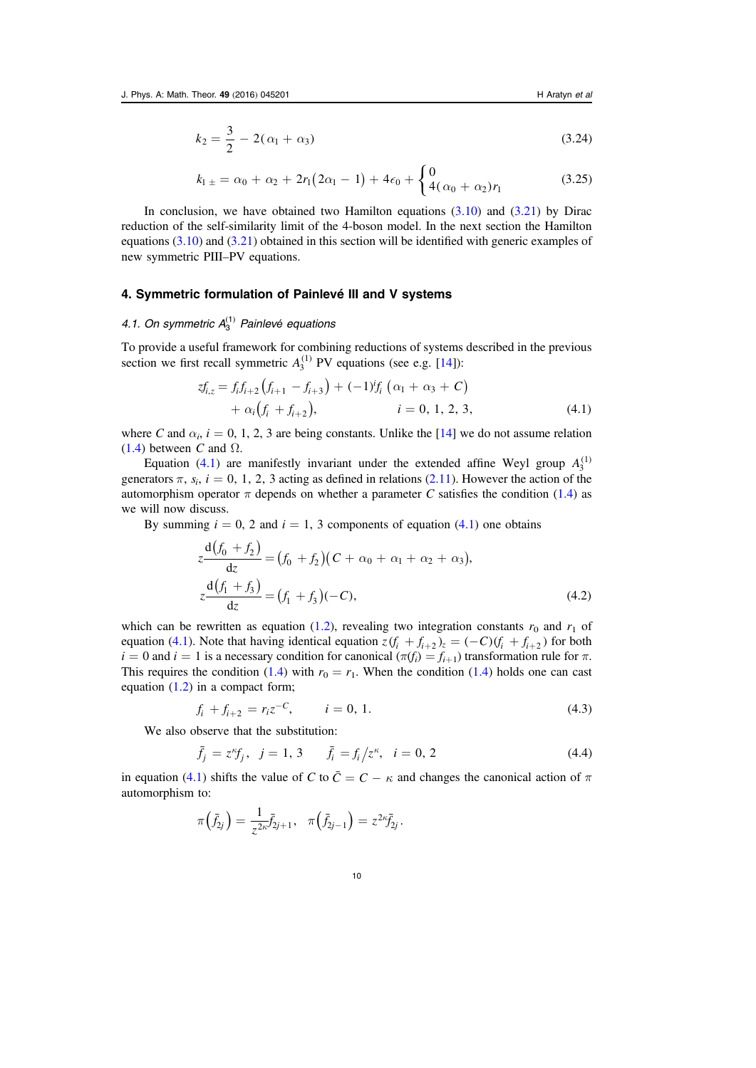$$
k_2 = \frac{3}{2} - 2(\alpha_1 + \alpha_3) \tag{3.24}
$$

$$
k_{1\pm} = \alpha_0 + \alpha_2 + 2r_1(2\alpha_1 - 1) + 4\epsilon_0 + \begin{cases} 0\\ 4(\alpha_0 + \alpha_2)r_1 \end{cases}
$$
(3.25)

In conclusion, we have obtained two Hamilton equations  $(3.10)$  $(3.10)$  $(3.10)$  and  $(3.21)$  $(3.21)$  $(3.21)$  by Dirac reduction of the self-similarity limit of the 4-boson model. In the next section the Hamilton equations ([3.10](#page-8-6)) and ([3.21](#page-9-0)) obtained in this section will be identified with generic examples of new symmetric PIII–PV equations.

#### <span id="page-10-0"></span>4. Symmetric formulation of Painlevé III and V systems

## <span id="page-10-1"></span>4.1. On symmetric  $A_3^{(1)}$  Painlevé equations

<span id="page-10-2"></span>To provide a useful framework for combining reductions of systems described in the previous section we first recall symmetric  $A_3^{(1)}$  PV equations (see e.g. [[14](#page-20-3)]):

$$
zf_{i,z} = f_i f_{i+2} (f_{i+1} - f_{i+3}) + (-1)^i f_i (\alpha_1 + \alpha_3 + C) + \alpha_i (f_i + f_{i+2}), \qquad i = 0, 1, 2, 3,
$$
 (4.1)

where C and  $\alpha_i$ ,  $i = 0, 1, 2, 3$  are being constants. Unlike the [[14](#page-20-3)] we do not assume relation ([1.4](#page-2-1)) between C and  $\Omega$ .

Equation ([4.1](#page-10-2)) are manifestly invariant under the extended affine Weyl group  $A_3^{(1)}$ generators  $\pi$ ,  $s_i$ ,  $i = 0, 1, 2, 3$  acting as defined in relations ([2.11](#page-6-3)). However the action of the automorphism operator  $\pi$  depends on whether a parameter C satisfies the condition ([1.4](#page-2-1)) as we will now discuss.

<span id="page-10-4"></span>By summing  $i = 0, 2$  and  $i = 1, 3$  components of equation ([4.1](#page-10-2)) one obtains

$$
z\frac{d(f_0 + f_2)}{dz} = (f_0 + f_2)(C + \alpha_0 + \alpha_1 + \alpha_2 + \alpha_3),
$$
  
\n
$$
z\frac{d(f_1 + f_3)}{dz} = (f_1 + f_3)(-C),
$$
\n(4.2)

<span id="page-10-5"></span>which can be rewritten as equation ([1.2](#page-2-3)), revealing two integration constants  $r_0$  and  $r_1$  of equation ([4.1](#page-10-2)). Note that having identical equation  $z(f_i + f_{i+2})z = (-C)(f_i + f_{i+2})$  for both  $i = 0$  and  $i = 1$  is a necessary condition for canonical  $(\pi(f_i) = f_{i+1})$  transformation rule for  $\pi$ . This requires the condition ([1.4](#page-2-1)) with  $r_0 = r_1$ . When the condition (1.4) holds one can cast equation  $(1.2)$  $(1.2)$  $(1.2)$  in a compact form;

$$
f_i + f_{i+2} = r_i z^{-C}, \qquad i = 0, 1.
$$
\n(4.3)

<span id="page-10-3"></span>We also observe that the substitution:

$$
\bar{f}_j = z^{\kappa} f_j, \ \ j = 1, \ 3 \qquad \bar{f}_i = f_i / z^{\kappa}, \ \ i = 0, \ 2 \tag{4.4}
$$

in equation ([4.1](#page-10-2)) shifts the value of C to  $\bar{C} = C - \kappa$  and changes the canonical action of  $\pi$ automorphism to:

$$
\pi\left(\bar{f}_{2j}\right) = \frac{1}{z^{2\kappa}}\bar{f}_{2j+1}, \quad \pi\left(\bar{f}_{2j-1}\right) = z^{2\kappa}\bar{f}_{2j}.
$$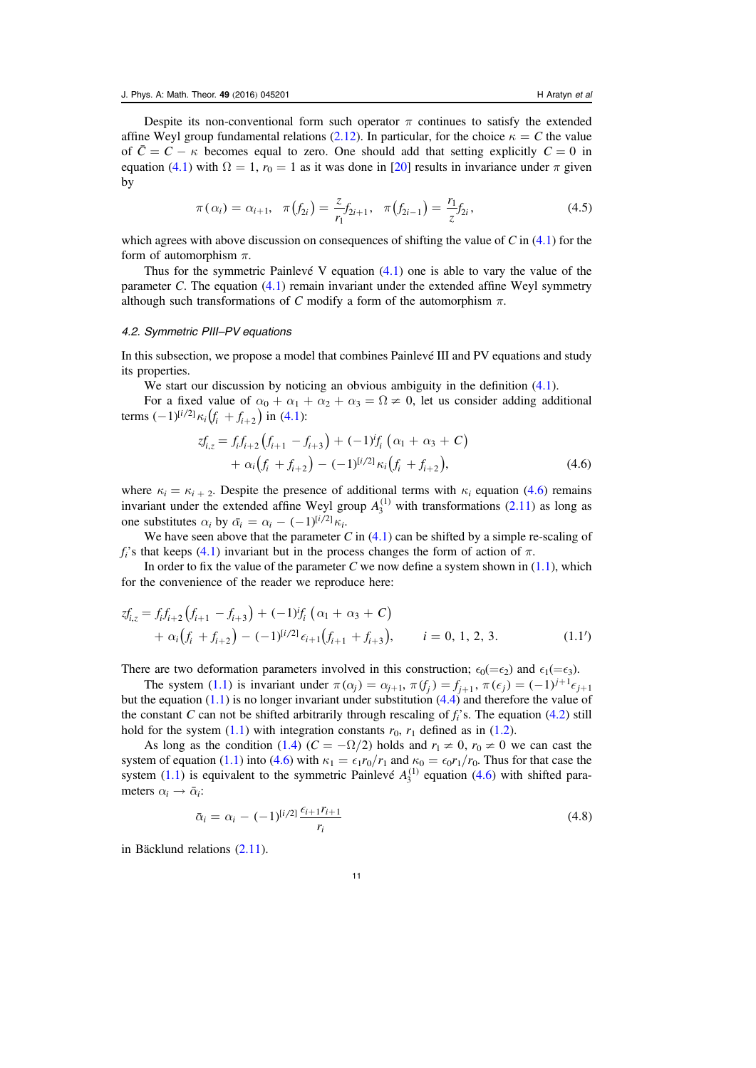Despite its non-conventional form such operator  $\pi$  continues to satisfy the extended affine Weyl group fundamental relations ([2.12](#page-6-4)). In particular, for the choice  $\kappa = C$  the value of  $\overline{C} = C - \kappa$  becomes equal to zero. One should add that setting explicitly  $C = 0$  in equation ([4.1](#page-10-2)) with  $\Omega = 1$ ,  $r_0 = 1$  as it was done in [[20](#page-21-0)] results in invariance under  $\pi$  given by

$$
\pi(\alpha_i) = \alpha_{i+1}, \quad \pi(f_{2i}) = \frac{z}{r_1} f_{2i+1}, \quad \pi(f_{2i-1}) = \frac{r_1}{z} f_{2i}, \tag{4.5}
$$

which agrees with above discussion on consequences of shifting the value of  $C$  in ([4.1](#page-10-2)) for the form of automorphism  $\pi$ .

Thus for the symmetric Painlevé V equation  $(4.1)$  $(4.1)$  $(4.1)$  one is able to vary the value of the parameter C. The equation  $(4.1)$  $(4.1)$  $(4.1)$  remain invariant under the extended affine Weyl symmetry although such transformations of C modify a form of the automorphism  $\pi$ .

#### <span id="page-11-0"></span>4.2. Symmetric PIII–PV equations

In this subsection, we propose a model that combines Painlevé III and PV equations and study its properties.

We start our discussion by noticing an obvious ambiguity in the definition  $(4.1)$  $(4.1)$  $(4.1)$ .

<span id="page-11-1"></span>For a fixed value of  $\alpha_0 + \alpha_1 + \alpha_2 + \alpha_3 = \Omega \neq 0$ , let us consider adding additional terms  $(-1)^{[i/2]} \kappa_i(f_i + f_{i+2})$  in ([4.1](#page-10-2)):

$$
zf_{i,z} = f_i f_{i+2} (f_{i+1} - f_{i+3}) + (-1)^i f_i (\alpha_1 + \alpha_3 + C)
$$
  
+  $\alpha_i (f_i + f_{i+2}) - (-1)^{[i/2]} \kappa_i (f_i + f_{i+2}),$  (4.6)

where  $\kappa_i = \kappa_{i+2}$ . Despite the presence of additional terms with  $\kappa_i$  equation ([4.6](#page-11-1)) remains invariant under the extended affine Weyl group  $A_3^{(1)}$  with transformations ([2.11](#page-6-3)) as long as one substitutes  $\alpha_i$  by  $\bar{\alpha}_i = \alpha_i - (-1)^{[i/2]} \kappa_i$ .

We have seen above that the parameter C in  $(4.1)$  $(4.1)$  $(4.1)$  can be shifted by a simple re-scaling of f;'s that keeps ([4.1](#page-10-2)) invariant but in the process changes the form of action of  $\pi$ .

In order to fix the value of the parameter C we now define a system shown in  $(1.1)$  $(1.1)$  $(1.1)$ , which for the convenience of the reader we reproduce here:

$$
\begin{split} z f_{i,z} &= f_i f_{i+2} \left( f_{i+1} - f_{i+3} \right) + (-1)^i f_i \left( \alpha_1 + \alpha_3 + C \right) \\ &+ \alpha_i \left( f_i + f_{i+2} \right) - (-1)^{[i/2]} \epsilon_{i+1} \left( f_{i+1} + f_{i+3} \right), \qquad i = 0, 1, 2, 3. \end{split} \tag{1.1'}
$$

There are two deformation parameters involved in this construction;  $\epsilon_0(=\epsilon_2)$  and  $\epsilon_1(=\epsilon_3)$ .

The system ([1.1](#page-2-0)) is invariant under  $\pi(\alpha_j) = \alpha_{j+1}, \pi(f_j) = f_{j+1}, \pi(\epsilon_j) = (-1)^{j+1} \epsilon_{j+1}$ but the equation  $(1.1)$  $(1.1)$  $(1.1)$  is no longer invariant under substitution  $(4.4)$  $(4.4)$  $(4.4)$  and therefore the value of the constant C can not be shifted arbitrarily through rescaling of  $f_i$ 's. The equation ([4.2](#page-10-4)) still hold for the system  $(1.1)$  $(1.1)$  $(1.1)$  with integration constants  $r_0$ ,  $r_1$  defined as in ([1.2](#page-2-3)).

<span id="page-11-2"></span>As long as the condition ([1.4](#page-2-1)) ( $C = -\Omega/2$ ) holds and  $r_1 \neq 0$ ,  $r_0 \neq 0$  we can cast the system of equation ([1.1](#page-2-0)) into ([4.6](#page-11-1)) with  $\kappa_1 = \epsilon_1 r_0/r_1$  and  $\kappa_0 = \epsilon_0 r_1/r_0$ . Thus for that case the system  $(1.1)$  $(1.1)$  $(1.1)$  is equivalent to the symmetric Painlevé  $A_3^{(1)}$  equation  $(4.6)$  $(4.6)$  $(4.6)$  with shifted parameters  $\alpha_i \rightarrow \bar{\alpha}_i$ :

$$
\bar{\alpha}_i = \alpha_i - (-1)^{[i/2]} \frac{\epsilon_{i+1} r_{i+1}}{r_i} \tag{4.8}
$$

in Bäcklund relations ([2.11](#page-6-3)).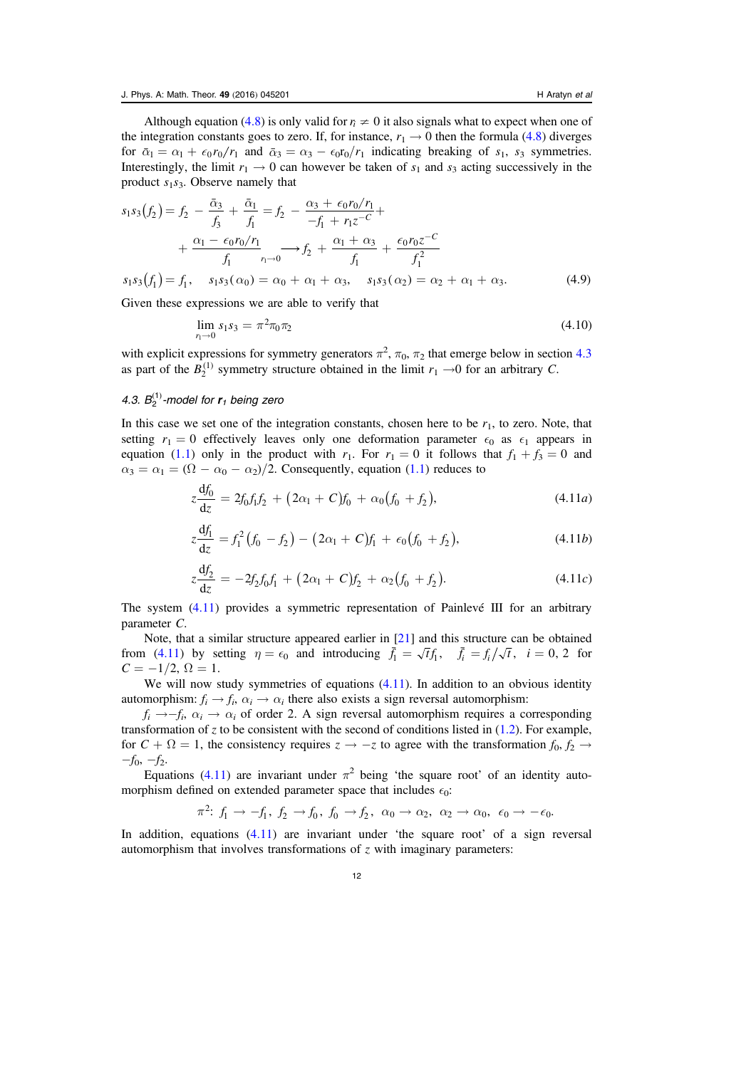$$
s_1 s_3(f_2) = f_2 - \frac{\bar{\alpha}_3}{f_3} + \frac{\bar{\alpha}_1}{f_1} = f_2 - \frac{\alpha_3 + \epsilon_0 r_0/r_1}{-f_1 + r_1 z^{-C}} + + \frac{\alpha_1 - \epsilon_0 r_0/r_1}{f_1}, \frac{\alpha_1 + \alpha_3}{r_1 \to 0} + \frac{\epsilon_0 r_0 z^{-C}}{f_1} s_1 s_3(f_1) = f_1, \quad s_1 s_3(\alpha_0) = \alpha_0 + \alpha_1 + \alpha_3, \quad s_1 s_3(\alpha_2) = \alpha_2 + \alpha_1 + \alpha_3.
$$
 (4.9)

<span id="page-12-2"></span>Given these expressions we are able to verify that

$$
\lim_{r_1 \to 0} s_1 s_3 = \pi^2 \pi_0 \pi_2 \tag{4.10}
$$

with explicit expressions for symmetry generators  $\pi^2$ ,  $\pi_0$ ,  $\pi_2$  that emerge below in section [4.3](#page-12-0) as part of the  $B_2^{(1)}$  symmetry structure obtained in the limit  $r_1 \rightarrow 0$  for an arbitrary C.

## <span id="page-12-0"></span>4.3.  $B_2^{(1)}$ -model for  $r_1$  being zero

<span id="page-12-1"></span>In this case we set one of the integration constants, chosen here to be  $r_1$ , to zero. Note, that setting  $r_1 = 0$  effectively leaves only one deformation parameter  $\epsilon_0$  as  $\epsilon_1$  appears in equation ([1.1](#page-2-0)) only in the product with  $r_1$ . For  $r_1 = 0$  it follows that  $f_1 + f_3 = 0$  and  $\alpha_3 = \alpha_1 = (\Omega - \alpha_0 - \alpha_2)/2$ . Consequently, equation ([1.1](#page-2-0)) reduces to

$$
z\frac{df_0}{dz} = 2f_0f_1f_2 + (2\alpha_1 + C)f_0 + \alpha_0(f_0 + f_2), \qquad (4.11a)
$$

$$
z\frac{\mathrm{d}f_1}{\mathrm{d}z} = f_1^2 \left(f_0 - f_2\right) - \left(2\alpha_1 + C\right)f_1 + \epsilon_0 \left(f_0 + f_2\right),\tag{4.11b}
$$

$$
z\frac{\mathrm{d}f_2}{\mathrm{d}z} = -2f_2f_0f_1 + (2\alpha_1 + C)f_2 + \alpha_2(f_0 + f_2). \tag{4.11c}
$$

The system ([4.11](#page-12-1)) provides a symmetric representation of Painlevé III for an arbitrary parameter C.

Note, that a similar structure appeared earlier in [[21](#page-21-1)] and this structure can be obtained from ([4.11](#page-12-1)) by setting  $\eta = \epsilon_0$  and introducing  $\bar{f}_1 = \sqrt{t} f_1$ ,  $\bar{f}_i = f_i / \sqrt{t}$ ,  $i = 0, 2$  for  $C = -1/2, \Omega = 1.$ 

We will now study symmetries of equations  $(4.11)$  $(4.11)$  $(4.11)$ . In addition to an obvious identity automorphism:  $f_i \rightarrow f_i$ ,  $\alpha_i \rightarrow \alpha_i$  there also exists a sign reversal automorphism:

 $f_i \rightarrow-f_i$ ,  $\alpha_i \rightarrow \alpha_i$  of order 2. A sign reversal automorphism requires a corresponding transformation of z to be consistent with the second of conditions listed in  $(1.2)$  $(1.2)$  $(1.2)$ . For example, for  $C + \Omega = 1$ , the consistency requires  $z \to -z$  to agree with the transformation  $f_0, f_2 \to$  $-f_0$ ,  $-f_2$ .

Equations ([4.11](#page-12-1)) are invariant under  $\pi^2$  being 'the square root' of an identity automorphism defined on extended parameter space that includes  $\epsilon_0$ :

$$
\pi^2: f_1 \to -f_1, f_2 \to f_0, f_0 \to f_2, \alpha_0 \to \alpha_2, \alpha_2 \to \alpha_0, \epsilon_0 \to -\epsilon_0.
$$

In addition, equations  $(4.11)$  $(4.11)$  $(4.11)$  are invariant under 'the square root' of a sign reversal automorphism that involves transformations of  $\zeta$  with imaginary parameters: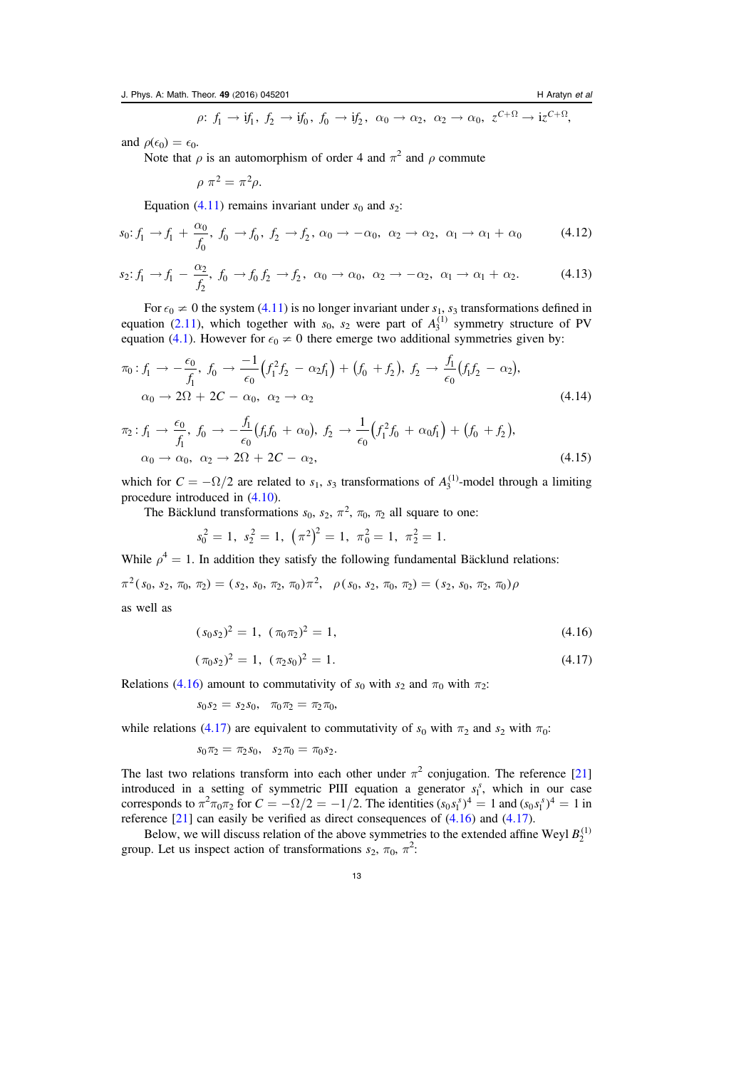$$
\rho\colon f_1 \to \mathrm{i} f_1, \ f_2 \to \mathrm{i} f_0, \ f_0 \to \mathrm{i} f_2, \ \alpha_0 \to \alpha_2, \ \alpha_2 \to \alpha_0, \ z^{C+\Omega} \to \mathrm{i} z^{C+\Omega},
$$

and  $\rho(\epsilon_0) = \epsilon_0$ .

Note that  $\rho$  is an automorphism of order 4 and  $\pi^2$  and  $\rho$  commute

 $\rho \pi^2 = \pi^2 \rho$ .

Equation ([4.11](#page-12-1)) remains invariant under  $s_0$  and  $s_2$ :

$$
s_0: f_1 \to f_1 + \frac{\alpha_0}{f_0}, \ f_0 \to f_0, \ f_2 \to f_2, \ \alpha_0 \to -\alpha_0, \ \alpha_2 \to \alpha_2, \ \alpha_1 \to \alpha_1 + \alpha_0 \tag{4.12}
$$

$$
s_2: f_1 \to f_1 - \frac{\alpha_2}{f_2}, \ f_0 \to f_0 \ f_2 \to f_2, \ \alpha_0 \to \alpha_0, \ \alpha_2 \to -\alpha_2, \ \alpha_1 \to \alpha_1 + \alpha_2. \tag{4.13}
$$

For  $\epsilon_0 \neq 0$  the system ([4.11](#page-12-1)) is no longer invariant under  $s_1$ ,  $s_3$  transformations defined in equation ([2.11](#page-6-3)), which together with  $s_0$ ,  $s_2$  were part of  $A_3^{(1)}$  symmetry structure of PV equation ([4.1](#page-10-2)). However for  $\epsilon_0 \neq 0$  there emerge two additional symmetries given by:

$$
\pi_0: f_1 \to -\frac{\epsilon_0}{f_1}, \ f_0 \to \frac{-1}{\epsilon_0} \left( f_1^2 f_2 - \alpha_2 f_1 \right) + \left( f_0 + f_2 \right), \ f_2 \to \frac{f_1}{\epsilon_0} \left( f_1 f_2 - \alpha_2 \right),
$$
\n
$$
\alpha_0 \to 2\Omega + 2C - \alpha_0, \ \alpha_2 \to \alpha_2 \tag{4.14}
$$

<span id="page-13-2"></span>
$$
\pi_2: f_1 \to \frac{\epsilon_0}{f_1}, \ f_0 \to -\frac{f_1}{\epsilon_0} (f_1 f_0 + \alpha_0), \ f_2 \to \frac{1}{\epsilon_0} (f_1^2 f_0 + \alpha_0 f_1) + (f_0 + f_2),
$$
  
\n
$$
\alpha_0 \to \alpha_0, \ \alpha_2 \to 2\Omega + 2C - \alpha_2,
$$
\n(4.15)

which for  $C = -\Omega/2$  are related to  $s_1$ ,  $s_3$  transformations of  $A_3^{(1)}$ -model through a limiting procedure introduced in ([4.10](#page-12-2)).

The Bäcklund transformations  $s_0$ ,  $s_2$ ,  $\pi^2$ ,  $\pi_0$ ,  $\pi_2$  all square to one:

$$
s_0^2 = 1
$$
,  $s_2^2 = 1$ ,  $(\pi^2)^2 = 1$ ,  $\pi_0^2 = 1$ ,  $\pi_2^2 = 1$ .

While  $\rho^4 = 1$ . In addition they satisfy the following fundamental Bäcklund relations:

$$
\pi^2(s_0, s_2, \pi_0, \pi_2) = (s_2, s_0, \pi_2, \pi_0) \pi^2, \quad \rho(s_0, s_2, \pi_0, \pi_2) = (s_2, s_0, \pi_2, \pi_0) \rho
$$

<span id="page-13-0"></span>as well as

$$
(s_0 s_2)^2 = 1, \ (\pi_0 \pi_2)^2 = 1,\tag{4.16}
$$

$$
(\pi_0 s_2)^2 = 1, \ (\pi_2 s_0)^2 = 1. \tag{4.17}
$$

<span id="page-13-1"></span>Relations ([4.16](#page-13-0)) amount to commutativity of  $s_0$  with  $s_2$  and  $\pi_0$  with  $\pi_2$ :

$$
s_0s_2 = s_2s_0, \quad \pi_0\pi_2 = \pi_2\pi_0,
$$

while relations ([4.17](#page-13-1)) are equivalent to commutativity of  $s_0$  with  $\pi_2$  and  $s_2$  with  $\pi_0$ :

$$
s_0\pi_2=\pi_2s_0, \ \ s_2\pi_0=\pi_0s_2.
$$

The last two relations transform into each other under  $\pi^2$  conjugation. The reference [[21](#page-21-1)] introduced in a setting of symmetric PIII equation a generator  $s_1^s$ , which in our case corresponds to  $\pi^2 \pi_0 \pi_2$  for  $C = -\Omega/2 = -1/2$ . The identities  $(s_0 s_1^s)^4 = 1$  and  $(s_0 s_1^s)^4 = 1$  in reference [[21](#page-21-1)] can easily be verified as direct consequences of ([4.16](#page-13-0)) and ([4.17](#page-13-1)).

Below, we will discuss relation of the above symmetries to the extended affine Weyl  $B_2^{(1)}$ group. Let us inspect action of transformations  $s_2$ ,  $\pi_0$ ,  $\pi^2$ :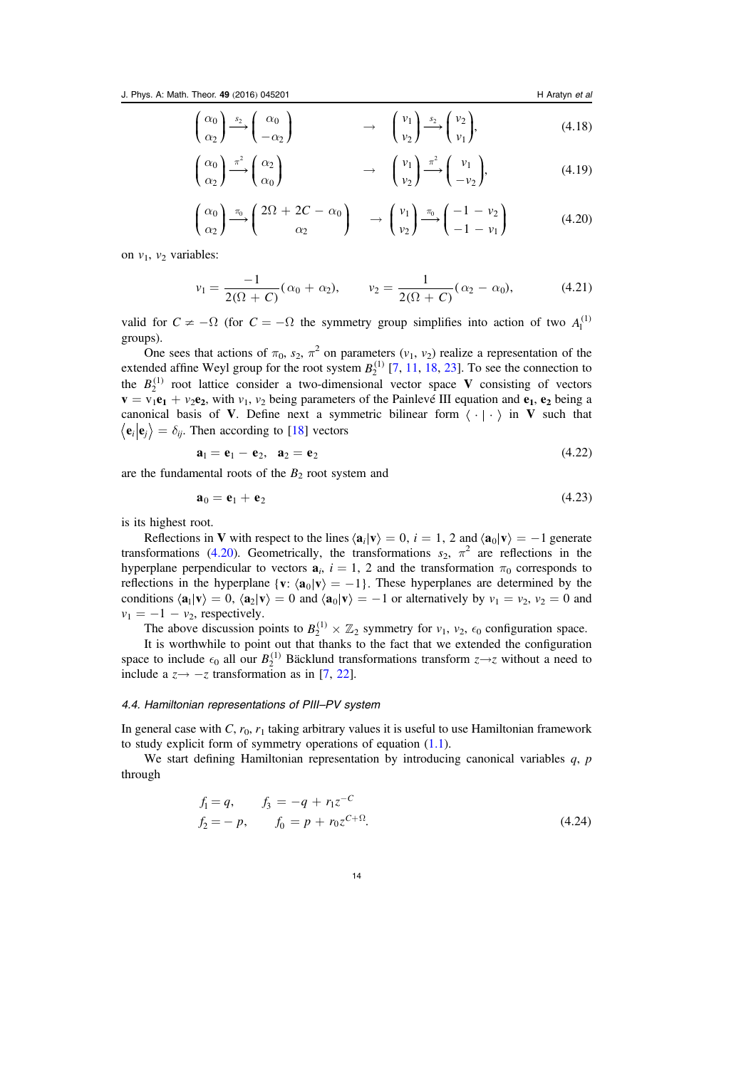$$
\begin{pmatrix} \alpha_0 \\ \alpha_2 \end{pmatrix} \xrightarrow{s_2} \begin{pmatrix} \alpha_0 \\ -\alpha_2 \end{pmatrix} \longrightarrow \begin{pmatrix} v_1 \\ v_2 \end{pmatrix} \xrightarrow{s_2} \begin{pmatrix} v_2 \\ v_1 \end{pmatrix}, \tag{4.18}
$$

$$
\begin{pmatrix} \alpha_0 \\ \alpha_2 \end{pmatrix} \xrightarrow{\pi^2} \begin{pmatrix} \alpha_2 \\ \alpha_0 \end{pmatrix} \qquad \qquad \rightarrow \qquad \begin{pmatrix} v_1 \\ v_2 \end{pmatrix} \xrightarrow{\pi^2} \begin{pmatrix} v_1 \\ -v_2 \end{pmatrix}, \tag{4.19}
$$

$$
\begin{pmatrix} \alpha_0 \\ \alpha_2 \end{pmatrix} \xrightarrow{\pi_0} \begin{pmatrix} 2\Omega + 2C - \alpha_0 \\ \alpha_2 \end{pmatrix} \longrightarrow \begin{pmatrix} v_1 \\ v_2 \end{pmatrix} \xrightarrow{\pi_0} \begin{pmatrix} -1 - v_2 \\ -1 - v_1 \end{pmatrix}
$$
(4.20)

<span id="page-14-2"></span>on  $v_1$ ,  $v_2$  variables:

$$
v_1 = \frac{-1}{2(\Omega + C)} (\alpha_0 + \alpha_2), \qquad v_2 = \frac{1}{2(\Omega + C)} (\alpha_2 - \alpha_0), \tag{4.21}
$$

valid for  $C \neq -\Omega$  (for  $C = -\Omega$  the symmetry group simplifies into action of two  $A_1^{(1)}$ groups).

One sees that actions of  $\pi_0$ ,  $s_2$ ,  $\pi^2$  on parameters  $(v_1, v_2)$  realize a representation of the extended affine Weyl group for the root system  $B_2^{(1)}$  [[7](#page-20-11), [11](#page-20-12), [18,](#page-21-2) [23](#page-21-3)]. To see the connection to the  $B_2^{(1)}$  root lattice consider a two-dimensional vector space V consisting of vectors  $\mathbf{v} = \mathbf{v}_1 \mathbf{e}_1 + \mathbf{v}_2 \mathbf{e}_2$ , with  $\mathbf{v}_1$ ,  $\mathbf{v}_2$  being parameters of the Painlevé III equation and  $\mathbf{e}_1$ ,  $\mathbf{e}_2$  being a canonical basis of V. Define next a symmetric bilinear form  $\langle \cdot | \cdot \rangle$  in V such that  $\langle \mathbf{e}_i | \mathbf{e}_j \rangle = \delta_{ij}$ . Then according to [[18](#page-21-2)] vectors

$$
\mathbf{a}_1 = \mathbf{e}_1 - \mathbf{e}_2, \quad \mathbf{a}_2 = \mathbf{e}_2 \tag{4.22}
$$

are the fundamental roots of the  $B_2$  root system and

$$
\mathbf{a}_0 = \mathbf{e}_1 + \mathbf{e}_2 \tag{4.23}
$$

is its highest root.

Reflections in V with respect to the lines  $\langle \mathbf{a}_i | \mathbf{v} \rangle = 0$ ,  $i = 1, 2$  and  $\langle \mathbf{a}_0 | \mathbf{v} \rangle = -1$  generate transformations ([4.20](#page-14-2)). Geometrically, the transformations  $s_2$ ,  $\pi^2$  are reflections in the hyperplane perpendicular to vectors  $a_i$ ,  $i = 1, 2$  and the transformation  $\pi_0$  corresponds to reflections in the hyperplane {**v**:  $\langle \mathbf{a}_0 | \mathbf{v} \rangle = -1$ }. These hyperplanes are determined by the conditions  $\langle \mathbf{a}_1 | \mathbf{v} \rangle = 0$ ,  $\langle \mathbf{a}_2 | \mathbf{v} \rangle = 0$  and  $\langle \mathbf{a}_0 | \mathbf{v} \rangle = -1$  or alternatively by  $v_1 = v_2$ ,  $v_2 = 0$  and  $v_1 = -1 - v_2$ , respectively.

The above discussion points to  $B_2^{(1)} \times \mathbb{Z}_2$  symmetry for  $v_1$ ,  $v_2$ ,  $\epsilon_0$  configuration space.

It is worthwhile to point out that thanks to the fact that we extended the configuration space to include  $\epsilon_0$  all our  $B_2^{(1)}$  Bäcklund transformations transform  $z \rightarrow z$  without a need to include a  $z \rightarrow -z$  transformation as in [[7](#page-20-11), [22](#page-21-4)].

#### <span id="page-14-0"></span>4.4. Hamiltonian representations of PIII–PV system

In general case with C,  $r_0$ ,  $r_1$  taking arbitrary values it is useful to use Hamiltonian framework to study explicit form of symmetry operations of equation ([1.1](#page-2-0)).

<span id="page-14-1"></span>We start defining Hamiltonian representation by introducing canonical variables  $a$ ,  $p$ through

$$
f_1 = q, \t f_3 = -q + r_1 z^{-C}
$$
  
\n
$$
f_2 = -p, \t f_0 = p + r_0 z^{C + \Omega}.
$$
\n(4.24)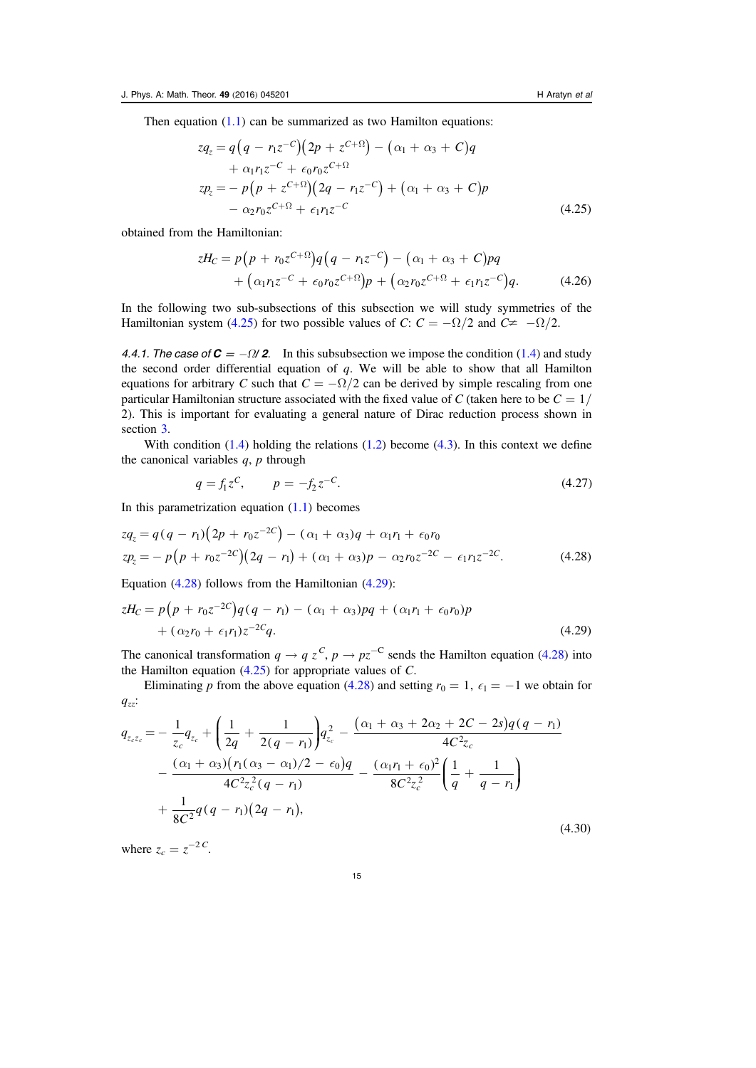<span id="page-15-2"></span>Then equation  $(1.1)$  $(1.1)$  $(1.1)$  can be summarized as two Hamilton equations:

$$
zq_z = q(q - r_1 z^{-C})(2p + z^{C+\Omega}) - (\alpha_1 + \alpha_3 + C)q
$$
  
+  $\alpha_1 r_1 z^{-C} + \epsilon_0 r_0 z^{C+\Omega}$   

$$
zp_z = -p(p + z^{C+\Omega})(2q - r_1 z^{-C}) + (\alpha_1 + \alpha_3 + C)p
$$
  
-  $\alpha_2 r_0 z^{C+\Omega} + \epsilon_1 r_1 z^{-C}$  (4.25)

<span id="page-15-6"></span>obtained from the Hamiltonian:

$$
zH_C = p(p + r_0 z^{C+\Omega})q(q - r_1 z^{-C}) - (\alpha_1 + \alpha_3 + C)pq
$$
  
+  $(\alpha_1 r_1 z^{-C} + \epsilon_0 r_0 z^{C+\Omega})p + (\alpha_2 r_0 z^{C+\Omega} + \epsilon_1 r_1 z^{-C})q.$  (4.26)

In the following two sub-subsections of this subsection we will study symmetries of the Hamiltonian system ([4.25](#page-15-2)) for two possible values of C:  $C = -\Omega/2$  and  $C \neq -\Omega/2$ .

<span id="page-15-0"></span>4.4.1. The case of  $C = -\frac{Q}{2}$ . In this subsubsection we impose the condition ([1.4](#page-2-1)) and study the second order differential equation of  $q$ . We will be able to show that all Hamilton equations for arbitrary C such that  $C = -\Omega/2$  can be derived by simple rescaling from one particular Hamiltonian structure associated with the fixed value of C (taken here to be  $C = 1/2$ 2). This is important for evaluating a general nature of Dirac reduction process shown in section [3.](#page-6-0)

<span id="page-15-1"></span>With condition  $(1.4)$  $(1.4)$  $(1.4)$  holding the relations  $(1.2)$  $(1.2)$  $(1.2)$  become  $(4.3)$  $(4.3)$  $(4.3)$ . In this context we define the canonical variables  $q$ ,  $p$  through

$$
q = f_1 z^C, \qquad p = -f_2 z^{-C}.
$$
\n(4.27)

<span id="page-15-3"></span>In this parametrization equation  $(1.1)$  $(1.1)$  $(1.1)$  becomes

$$
zq_z = q(q - r_1)(2p + r_0z^{-2C}) - (\alpha_1 + \alpha_3)q + \alpha_1r_1 + \epsilon_0r_0
$$
  
\n
$$
zp_z = -p(p + r_0z^{-2C})(2q - r_1) + (\alpha_1 + \alpha_3)p - \alpha_2r_0z^{-2C} - \epsilon_1r_1z^{-2C}.
$$
\n(4.28)

<span id="page-15-4"></span>Equation ([4.28](#page-15-3)) follows from the Hamiltonian ([4.29](#page-15-4)):

$$
zH_C = p(p + r_0 z^{-2C})q(q - r_1) - (\alpha_1 + \alpha_3)pq + (\alpha_1 r_1 + \epsilon_0 r_0)p + (\alpha_2 r_0 + \epsilon_1 r_1)z^{-2C}q.
$$
\n(4.29)

The canonical transformation  $q \to q z^C$ ,  $p \to pz^{-C}$  sends the Hamilton equation ([4.28](#page-15-3)) into the Hamilton equation  $(4.25)$  $(4.25)$  $(4.25)$  for appropriate values of C.

<span id="page-15-5"></span>Eliminating p from the above equation ([4.28](#page-15-3)) and setting  $r_0 = 1$ ,  $\epsilon_1 = -1$  we obtain for  $q_{zz}$ :

$$
q_{z_c z_c} = -\frac{1}{z_c} q_{z_c} + \left(\frac{1}{2q} + \frac{1}{2(q - r_1)}\right) q_{z_c}^2 - \frac{(\alpha_1 + \alpha_3 + 2\alpha_2 + 2C - 2s)q(q - r_1)}{4C^2 z_c} - \frac{(\alpha_1 + \alpha_3)(r_1(\alpha_3 - \alpha_1)/2 - \epsilon_0)q}{4C^2 z_c^2 (q - r_1)} - \frac{(\alpha_1 r_1 + \epsilon_0)^2}{8C^2 z_c^2} \left(\frac{1}{q} + \frac{1}{q - r_1}\right) + \frac{1}{8C^2} q(q - r_1)(2q - r_1),
$$
\n(4.30)

where  $z_c = z^{-2C}$ .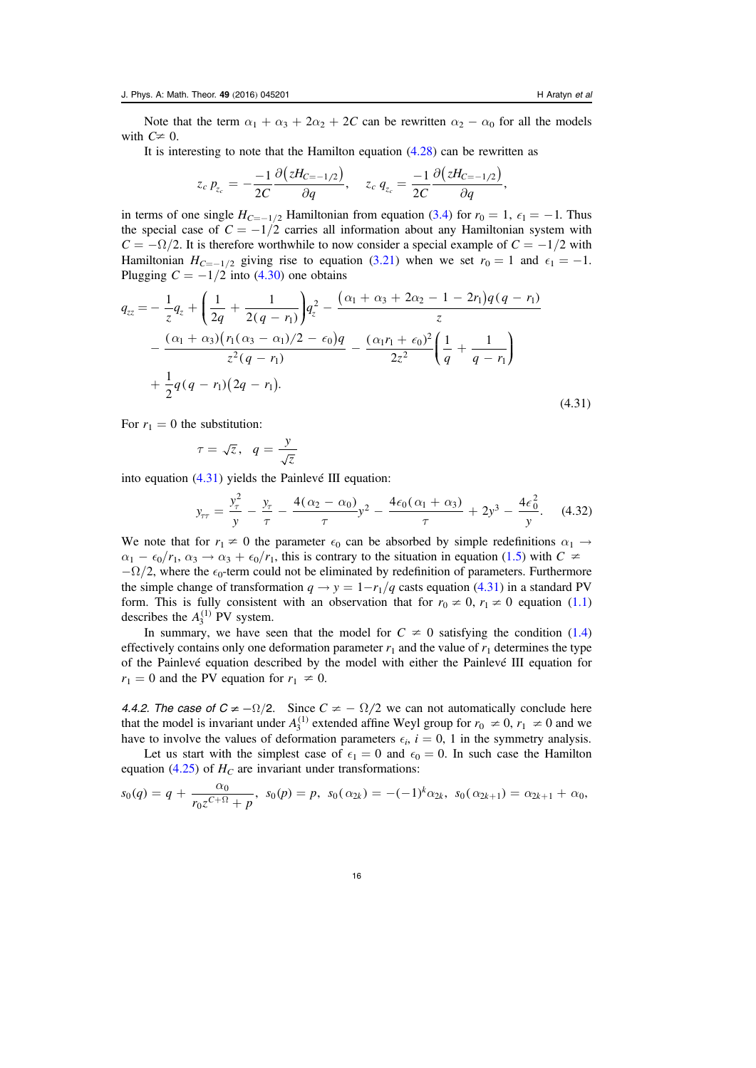Note that the term  $\alpha_1 + \alpha_3 + 2\alpha_2 + 2C$  can be rewritten  $\alpha_2 - \alpha_0$  for all the models with  $C \neq 0$ .

It is interesting to note that the Hamilton equation  $(4.28)$  $(4.28)$  $(4.28)$  can be rewritten as

$$
z_c p_{z_c} = -\frac{-1}{2C} \frac{\partial (zH_{C=-1/2})}{\partial q}, \quad z_c q_{z_c} = \frac{-1}{2C} \frac{\partial (zH_{C=-1/2})}{\partial q},
$$

in terms of one single  $H_{C=-1/2}$  Hamiltonian from equation ([3.4](#page-7-2)) for  $r_0 = 1$ ,  $\epsilon_1 = -1$ . Thus the special case of  $C = -1/2$  carries all information about any Hamiltonian system with  $C = -\Omega/2$ . It is therefore worthwhile to now consider a special example of  $C = -1/2$  with Hamiltonian  $H_{C=-1/2}$  giving rise to equation ([3.21](#page-9-0)) when we set  $r_0 = 1$  and  $\epsilon_1 = -1$ . Plugging  $C = -1/2$  into ([4.30](#page-15-5)) one obtains

<span id="page-16-1"></span>
$$
q_{zz} = -\frac{1}{z}q_z + \left(\frac{1}{2q} + \frac{1}{2(q - r_1)}\right)q_z^2 - \frac{(\alpha_1 + \alpha_3 + 2\alpha_2 - 1 - 2r_1)q(q - r_1)}{z} - \frac{(\alpha_1 + \alpha_3)(r_1(\alpha_3 - \alpha_1)/2 - \epsilon_0)q}{z^2(q - r_1)} - \frac{(\alpha_1r_1 + \epsilon_0)^2}{2z^2} \left(\frac{1}{q} + \frac{1}{q - r_1}\right) + \frac{1}{2}q(q - r_1)(2q - r_1).
$$
\n(4.31)

For  $r_1 = 0$  the substitution:

$$
\tau = \sqrt{z}, \quad q = \frac{y}{\sqrt{z}}
$$

into equation ([4.31](#page-16-1)) yields the Painlevé III equation:

$$
y_{\tau\tau} = \frac{y_{\tau}^2}{y} - \frac{y_{\tau}}{\tau} - \frac{4(\alpha_2 - \alpha_0)}{\tau} y^2 - \frac{4\epsilon_0(\alpha_1 + \alpha_3)}{\tau} + 2y^3 - \frac{4\epsilon_0^2}{y}.
$$
 (4.32)

We note that for  $r_1 \neq 0$  the parameter  $\epsilon_0$  can be absorbed by simple redefinitions  $\alpha_1 \rightarrow$  $\alpha_1 - \epsilon_0/r_1$ ,  $\alpha_3 \to \alpha_3 + \epsilon_0/r_1$ , this is contrary to the situation in equation ([1.5](#page-2-2)) with  $C \neq$  $-\Omega/2$ , where the  $\epsilon_0$ -term could not be eliminated by redefinition of parameters. Furthermore the simple change of transformation  $q \rightarrow y = 1 - r_1/q$  casts equation ([4.31](#page-16-1)) in a standard PV form. This is fully consistent with an observation that for  $r_0 \neq 0$ ,  $r_1 \neq 0$  equation ([1.1](#page-2-0)) describes the  $A_3^{(1)}$  PV system.

In summary, we have seen that the model for  $C \neq 0$  satisfying the condition ([1.4](#page-2-1)) effectively contains only one deformation parameter  $r_1$  and the value of  $r_1$  determines the type of the Painlevé equation described by the model with either the Painlevé III equation for  $r_1 = 0$  and the PV equation for  $r_1 \neq 0$ .

<span id="page-16-0"></span>4.4.2. The case of  $C \neq -\Omega/2$ . Since  $C \neq -\Omega/2$  we can not automatically conclude here that the model is invariant under  $A_3^{(1)}$  extended affine Weyl group for  $r_0 \neq 0$ ,  $r_1 \neq 0$  and we have to involve the values of deformation parameters  $\epsilon_i$ ,  $i = 0$ , 1 in the symmetry analysis.

Let us start with the simplest case of  $\epsilon_1 = 0$  and  $\epsilon_0 = 0$ . In such case the Hamilton equation ([4.25](#page-15-2)) of  $H_C$  are invariant under transformations:

$$
s_0(q) = q + \frac{\alpha_0}{r_0 z^{C+\Omega} + p}, \ s_0(p) = p, \ s_0(\alpha_{2k}) = -(-1)^k \alpha_{2k}, \ s_0(\alpha_{2k+1}) = \alpha_{2k+1} + \alpha_0,
$$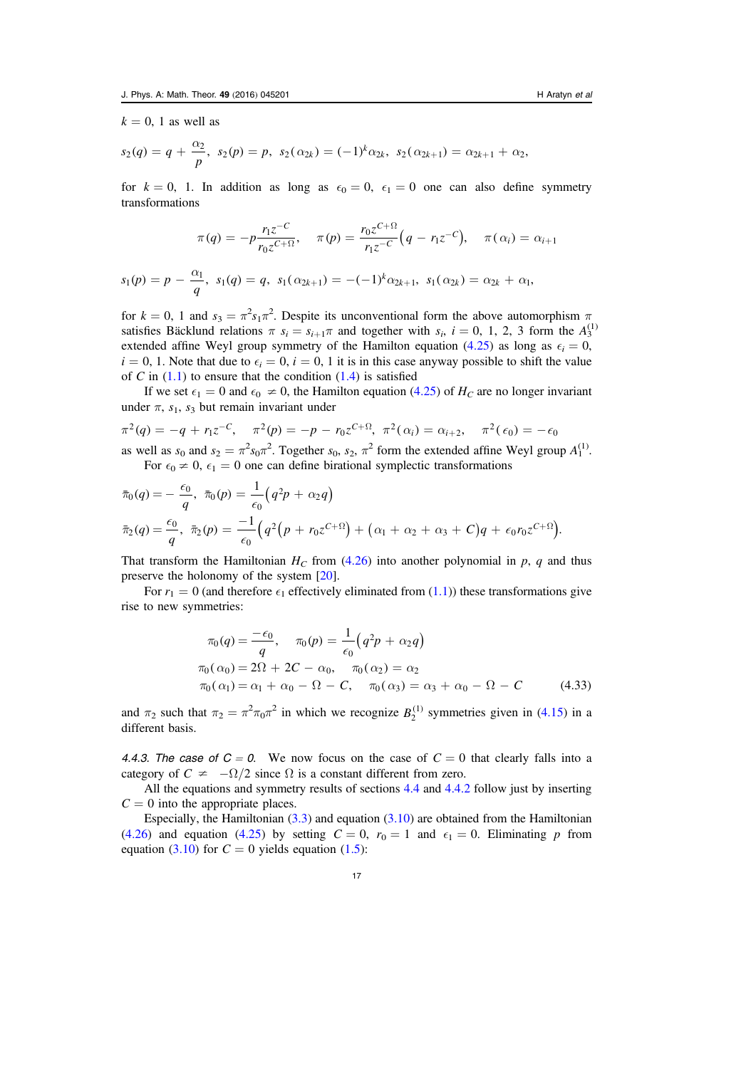$k = 0$ , 1 as well as

$$
s_2(q) = q + \frac{\alpha_2}{p}, s_2(p) = p, s_2(\alpha_{2k}) = (-1)^k \alpha_{2k}, s_2(\alpha_{2k+1}) = \alpha_{2k+1} + \alpha_2,
$$

for  $k = 0$ , 1. In addition as long as  $\epsilon_0 = 0$ ,  $\epsilon_1 = 0$  one can also define symmetry transformations

$$
\pi(q) = -p \frac{r_1 z^{-C}}{r_0 z^{C + \Omega}}, \quad \pi(p) = \frac{r_0 z^{C + \Omega}}{r_1 z^{-C}} \Big( q - r_1 z^{-C} \Big), \quad \pi(\alpha_i) = \alpha_{i+1}
$$

$$
s_1(p) = p - \frac{\alpha_1}{q}, s_1(q) = q, s_1(\alpha_{2k+1}) = -(-1)^k \alpha_{2k+1}, s_1(\alpha_{2k}) = \alpha_{2k} + \alpha_1,
$$

for  $k = 0$ , 1 and  $s_3 = \pi^2 s_1 \pi^2$ . Despite its unconventional form the above automorphism  $\pi$ satisfies Bäcklund relations  $\pi s_i = s_{i+1}\pi$  and together with  $s_i$ ,  $i = 0, 1, 2, 3$  form the  $A_3^{(1)}$ extended affine Weyl group symmetry of the Hamilton equation ([4.25](#page-15-2)) as long as  $\epsilon_i = 0$ ,  $i = 0, 1$ . Note that due to  $\epsilon_i = 0$ ,  $i = 0, 1$  it is in this case anyway possible to shift the value of C in  $(1.1)$  $(1.1)$  $(1.1)$  to ensure that the condition  $(1.4)$  $(1.4)$  $(1.4)$  is satisfied

If we set  $\epsilon_1 = 0$  and  $\epsilon_0 \neq 0$ , the Hamilton equation ([4.25](#page-15-2)) of  $H_C$  are no longer invariant under  $\pi$ ,  $s_1$ ,  $s_3$  but remain invariant under

$$
\pi^2(q) = -q + r_1 z^{-C}, \quad \pi^2(p) = -p - r_0 z^{C+\Omega}, \quad \pi^2(\alpha_i) = \alpha_{i+2}, \quad \pi^2(\epsilon_0) = -\epsilon_0
$$
  
as well as  $s_0$  and  $s_2 = \pi^2 s_0 \pi^2$ . Together  $s_0$ ,  $s_2$ ,  $\pi^2$  form the extended affine Weyl group  $A_1^{(1)}$ .

For 
$$
\epsilon_0 \neq 0
$$
,  $\epsilon_1 = 0$  one can define birational symplectic transformations

$$
\bar{\pi}_0(q) = -\frac{\epsilon_0}{q}, \ \bar{\pi}_0(p) = \frac{1}{\epsilon_0} \left( q^2 p + \alpha_2 q \right) \n\bar{\pi}_2(q) = \frac{\epsilon_0}{q}, \ \bar{\pi}_2(p) = \frac{-1}{\epsilon_0} \left( q^2 \left( p + r_0 z^{c+1} \right) + \left( \alpha_1 + \alpha_2 + \alpha_3 + C \right) q + \epsilon_0 r_0 z^{c+1} \right).
$$

That transform the Hamiltonian  $H_C$  from ([4.26](#page-15-6)) into another polynomial in p, q and thus preserve the holonomy of the system [[20](#page-21-0)].

For  $r_1 = 0$  (and therefore  $\epsilon_1$  effectively eliminated from ([1.1](#page-2-0))) these transformations give rise to new symmetries:

$$
\pi_0(q) = \frac{-\epsilon_0}{q}, \quad \pi_0(p) = \frac{1}{\epsilon_0} \left( q^2 p + \alpha_2 q \right)
$$
  
\n
$$
\pi_0(\alpha_0) = 2\Omega + 2C - \alpha_0, \quad \pi_0(\alpha_2) = \alpha_2
$$
  
\n
$$
\pi_0(\alpha_1) = \alpha_1 + \alpha_0 - \Omega - C, \quad \pi_0(\alpha_3) = \alpha_3 + \alpha_0 - \Omega - C \quad (4.33)
$$

and  $\pi_2$  such that  $\pi_2 = \pi^2 \pi_0 \pi^2$  in which we recognize  $B_2^{(1)}$  symmetries given in ([4.15](#page-13-2)) in a different basis.

<span id="page-17-0"></span>4.4.3. The case of  $C = 0$ . We now focus on the case of  $C = 0$  that clearly falls into a category of  $C \neq -\Omega/2$  since  $\Omega$  is a constant different from zero.

All the equations and symmetry results of sections [4.4](#page-14-0) and [4.4.2](#page-16-0) follow just by inserting  $C = 0$  into the appropriate places.

Especially, the Hamiltonian  $(3.3)$  $(3.3)$  $(3.3)$  and equation  $(3.10)$  $(3.10)$  $(3.10)$  are obtained from the Hamiltonian ([4.26](#page-15-6)) and equation ([4.25](#page-15-2)) by setting  $C = 0$ ,  $r_0 = 1$  and  $\epsilon_1 = 0$ . Eliminating p from equation ([3.10](#page-8-6)) for  $C = 0$  yields equation ([1.5](#page-2-2)):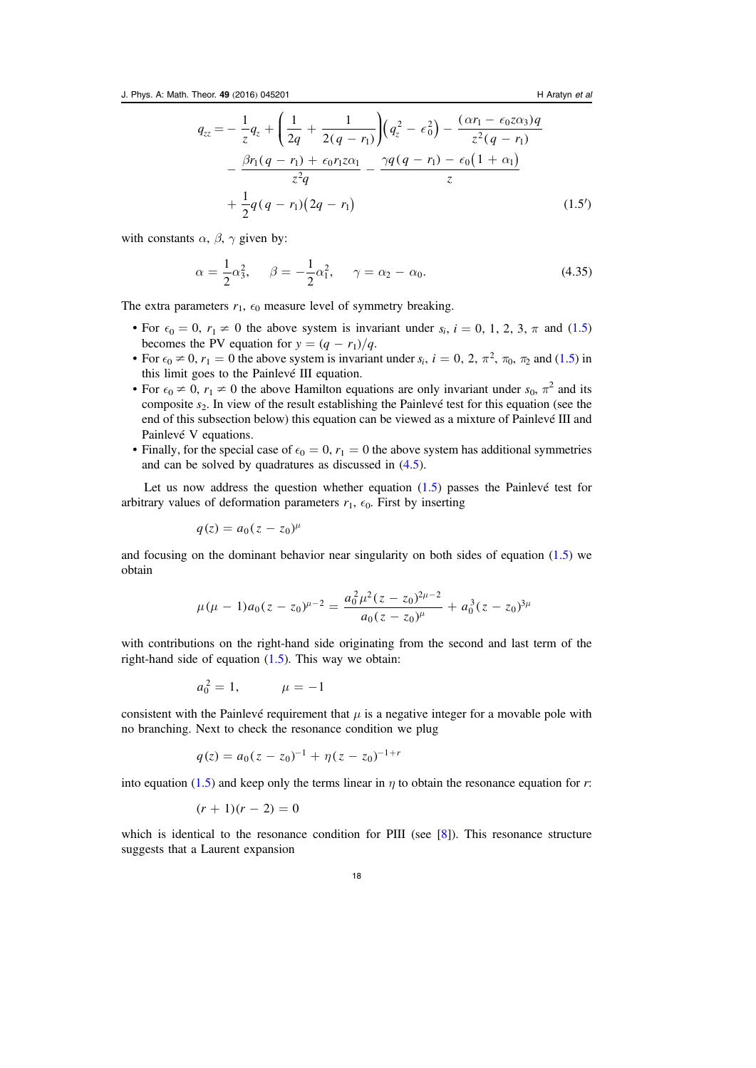$$
q_{zz} = -\frac{1}{z}q_z + \left(\frac{1}{2q} + \frac{1}{2(q - r_1)}\right)\left(q_z^2 - \epsilon_0^2\right) - \frac{(\alpha r_1 - \epsilon_0 z \alpha_3)q}{z^2(q - r_1)} - \frac{\beta r_1(q - r_1) + \epsilon_0 r_1 z \alpha_1}{z^2 q} - \frac{\gamma q(q - r_1) - \epsilon_0(1 + \alpha_1)}{z} + \frac{1}{2}q(q - r_1)(2q - r_1)
$$
\n(1.5')

<span id="page-18-0"></span>with constants  $\alpha$ ,  $\beta$ ,  $\gamma$  given by:

$$
\alpha = \frac{1}{2}\alpha_3^2, \quad \beta = -\frac{1}{2}\alpha_1^2, \quad \gamma = \alpha_2 - \alpha_0. \tag{4.35}
$$

The extra parameters  $r_1$ ,  $\epsilon_0$  measure level of symmetry breaking.

- For  $\epsilon_0 = 0$ ,  $r_1 \neq 0$  the above system is invariant under  $s_i$ ,  $i = 0, 1, 2, 3, \pi$  and ([1.5](#page-2-2)) becomes the PV equation for  $y = (q - r_1)/q$ .
- For  $\epsilon_0 \neq 0$ ,  $r_1 = 0$  the above system is invariant under  $s_i$ ,  $i = 0, 2, \pi^2, \pi_0, \pi_2$  and ([1.5](#page-2-2)) in this limit goes to the Painlevé III equation.
- For  $\epsilon_0 \neq 0$ ,  $r_1 \neq 0$  the above Hamilton equations are only invariant under  $s_0$ ,  $\pi^2$  and its composite  $s_2$ . In view of the result establishing the Painlevé test for this equation (see the end of this subsection below) this equation can be viewed as a mixture of Painlevé III and Painlevé V equations.
- Finally, for the special case of  $\epsilon_0 = 0, r_1 = 0$  the above system has additional symmetries and can be solved by quadratures as discussed in ([4.5](#page-19-1)).

Let us now address the question whether equation  $(1.5)$  $(1.5)$  $(1.5)$  passes the Painlevé test for arbitrary values of deformation parameters  $r_1$ ,  $\epsilon_0$ . First by inserting

$$
q(z) = a_0(z - z_0)^\mu
$$

and focusing on the dominant behavior near singularity on both sides of equation  $(1.5)$  $(1.5)$  $(1.5)$  we obtain

$$
\mu(\mu - 1)a_0(z - z_0)^{\mu - 2} = \frac{a_0^2 \mu^2 (z - z_0)^{2\mu - 2}}{a_0 (z - z_0)^{\mu}} + a_0^3 (z - z_0)^{3\mu}
$$

with contributions on the right-hand side originating from the second and last term of the right-hand side of equation  $(1.5)$  $(1.5)$  $(1.5)$ . This way we obtain:

$$
a_0^2 = 1, \qquad \mu = -1
$$

consistent with the Painlevé requirement that  $\mu$  is a negative integer for a movable pole with no branching. Next to check the resonance condition we plug

$$
q(z) = a_0(z - z_0)^{-1} + \eta(z - z_0)^{-1+r}
$$

into equation ([1.5](#page-2-2)) and keep only the terms linear in  $\eta$  to obtain the resonance equation for r:

$$
(r+1)(r-2)=0
$$

which is identical to the resonance condition for PIII (see [[8](#page-20-13)]). This resonance structure suggests that a Laurent expansion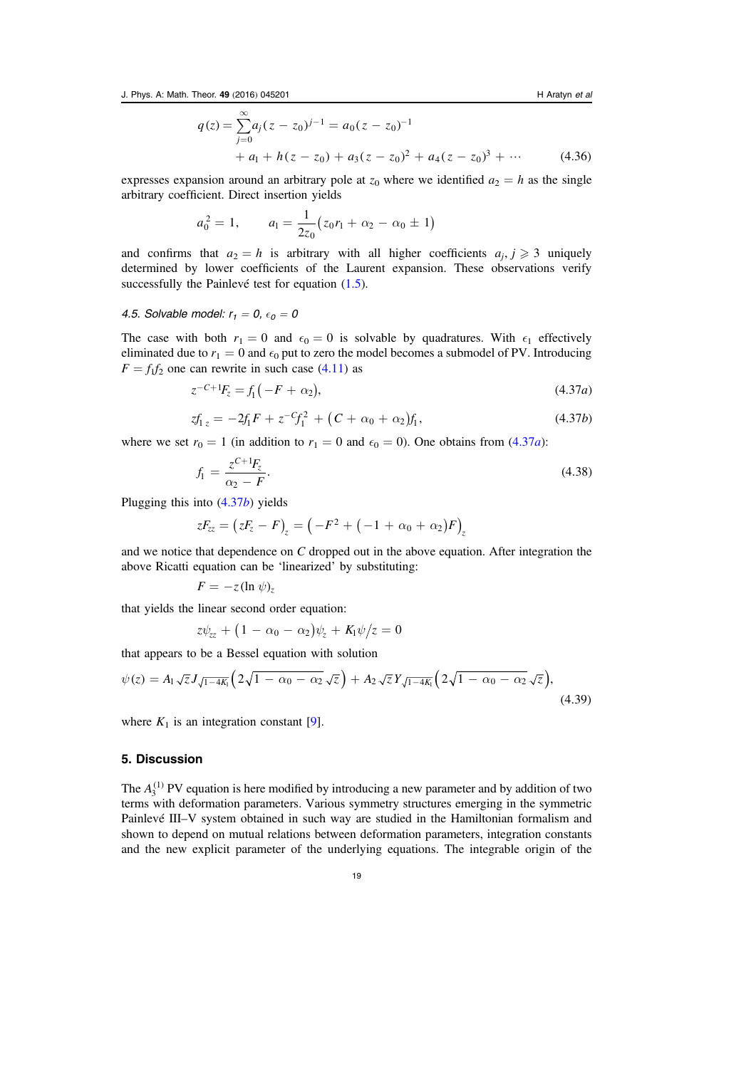$$
q(z) = \sum_{j=0}^{\infty} a_j (z - z_0)^{j-1} = a_0 (z - z_0)^{-1}
$$
  
+ a<sub>1</sub> + h(z - z<sub>0</sub>) + a<sub>3</sub>(z - z<sub>0</sub>)<sup>2</sup> + a<sub>4</sub>(z - z<sub>0</sub>)<sup>3</sup> + ... (4.36)

expresses expansion around an arbitrary pole at  $z_0$  where we identified  $a_2 = h$  as the single arbitrary coefficient. Direct insertion yields

$$
a_0^2 = 1, \qquad a_1 = \frac{1}{2z_0}(z_0r_1 + \alpha_2 - \alpha_0 \pm 1)
$$

and confirms that  $a_2 = h$  is arbitrary with all higher coefficients  $a_i, j \geq 3$  uniquely determined by lower coefficients of the Laurent expansion. These observations verify successfully the Painlevé test for equation  $(1.5)$  $(1.5)$  $(1.5)$ .

### <span id="page-19-1"></span>4.5. Solvable model:  $r_1 = 0$ ,  $\epsilon_0 = 0$

<span id="page-19-2"></span>The case with both  $r_1 = 0$  and  $\epsilon_0 = 0$  is solvable by quadratures. With  $\epsilon_1$  effectively eliminated due to  $r_1 = 0$  and  $\epsilon_0$  put to zero the model becomes a submodel of PV. Introducing  $F = f_1 f_2$  one can rewrite in such case ([4.11](#page-12-1)) as

$$
z^{-C+1}F_z = f_1(-F + \alpha_2), \tag{4.37a}
$$

$$
zf_{1z} = -2f_1F + z^{-C}f_1^2 + (C + \alpha_0 + \alpha_2)f_1,
$$
\n(4.37b)

<span id="page-19-3"></span>where we set  $r_0 = 1$  (in addition to  $r_1 = 0$  and  $\epsilon_0 = 0$ ). One obtains from ([4.37](#page-19-2)*a*):

$$
f_1 = \frac{z^{C+1}F_z}{\alpha_2 - F}.
$$
\n(4.38)

Plugging this into ([4.37](#page-19-3)b) yields

$$
zF_{zz} = (zF_z - F)_z = (-F^2 + (-1 + \alpha_0 + \alpha_2)F)_z
$$

and we notice that dependence on  $C$  dropped out in the above equation. After integration the above Ricatti equation can be 'linearized' by substituting:

$$
F=-z(\ln \psi)_z
$$

that yields the linear second order equation:

$$
z\psi_{zz} + (1 - \alpha_0 - \alpha_2)\psi_z + K_1\psi/z = 0
$$

that appears to be a Bessel equation with solution

$$
\psi(z) = A_1 \sqrt{z} J_{\sqrt{1-4K_1}} \Big( 2\sqrt{1-\alpha_0-\alpha_2} \sqrt{z} \Big) + A_2 \sqrt{z} Y_{\sqrt{1-4K_1}} \Big( 2\sqrt{1-\alpha_0-\alpha_2} \sqrt{z} \Big), \tag{4.39}
$$

where  $K_1$  is an integration constant [[9](#page-20-14)].

## <span id="page-19-0"></span>5. Discussion

The  $A_3^{(1)}$  PV equation is here modified by introducing a new parameter and by addition of two terms with deformation parameters. Various symmetry structures emerging in the symmetric Painlevé III–V system obtained in such way are studied in the Hamiltonian formalism and shown to depend on mutual relations between deformation parameters, integration constants and the new explicit parameter of the underlying equations. The integrable origin of the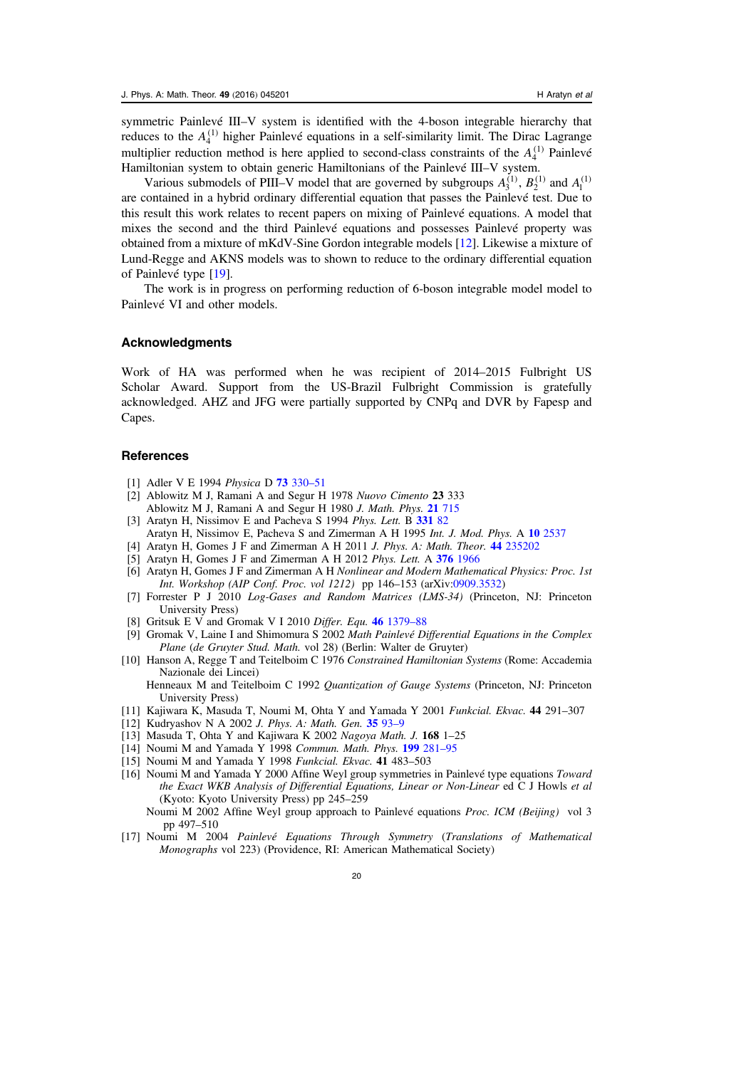symmetric Painlevé III–V system is identified with the 4-boson integrable hierarchy that reduces to the  $A_4^{(1)}$  higher Painlevé equations in a self-similarity limit. The Dirac Lagrange multiplier reduction method is here applied to second-class constraints of the  $A_4^{(1)}$  Painlevé Hamiltonian system to obtain generic Hamiltonians of the Painlevé III–V system.

Various submodels of PIII–V model that are governed by subgroups  $A_3^{(1)}$ ,  $B_2^{(1)}$  and  $A_1^{(1)}$ are contained in a hybrid ordinary differential equation that passes the Painlevé test. Due to this result this work relates to recent papers on mixing of Painlevé equations. A model that mixes the second and the third Painlevé equations and possesses Painlevé property was obtained from a mixture of mKdV-Sine Gordon integrable models [[12](#page-20-15)]. Likewise a mixture of Lund-Regge and AKNS models was to shown to reduce to the ordinary differential equation of Painlevé type [[19](#page-21-5)].

The work is in progress on performing reduction of 6-boson integrable model model to Painlevé VI and other models.

#### Acknowledgments

Work of HA was performed when he was recipient of 2014–2015 Fulbright US Scholar Award. Support from the US-Brazil Fulbright Commission is gratefully acknowledged. AHZ and JFG were partially supported by CNPq and DVR by Fapesp and Capes.

#### **References**

- <span id="page-20-10"></span>[1] Adler V E 1994 *Physica* D **73** [330](http://dx.doi.org/10.1016/0167-2789(94)90104-X)-51
- <span id="page-20-2"></span>[2] Ablowitz M J, Ramani A and Segur H 1978 Nuovo Cimento 23 333
- Ablowitz M J, Ramani A and Segur H 1980 J. Math. Phys. 21 [715](http://dx.doi.org/10.1063/1.524491)
- <span id="page-20-0"></span>[3] Aratyn H, Nissimov E and Pacheva S 1994 Phys. Lett. B [331](http://dx.doi.org/10.1016/0370-2693(94)90946-6) 82 Aratyn H, Nissimov E, Pacheva S and Zimerman A H 1995 Int. J. Mod. Phys. A 10 [2537](http://dx.doi.org/10.1142/S0217751X95001212)
- <span id="page-20-6"></span>[4] Aratyn H, Gomes J F and Zimerman A H 2011 J. Phys. A: Math. Theor. 44 [235202](http://dx.doi.org/10.1088/1751-8113/44/23/235202)
- <span id="page-20-1"></span>[5] Aratyn H, Gomes J F and Zimerman A H 2012 Phys. Lett. A 376 [1966](http://dx.doi.org/10.1016/j.physleta.2012.04.044)
- <span id="page-20-5"></span>[6] Aratyn H, Gomes J F and Zimerman A H Nonlinear and Modern Mathematical Physics: Proc. 1st Int. Workshop (AIP Conf. Proc. vol 1212) pp 146–153 (arXiv[:0909.3532](http://arXiv.org/abs/0909.3532))
- <span id="page-20-11"></span>[7] Forrester P J 2010 Log-Gases and Random Matrices (LMS-34) (Princeton, NJ: Princeton University Press)
- <span id="page-20-13"></span>[8] Gritsuk E V and Gromak V I 2010 Differ. Equ. 46 [1379](http://dx.doi.org/10.1134/S0012266110100010)-88
- <span id="page-20-14"></span>[9] Gromak V, Laine I and Shimomura S 2002 Math Painlevé Differential Equations in the Complex Plane (de Gruyter Stud. Math. vol 28) (Berlin: Walter de Gruyter)
- <span id="page-20-9"></span>[10] Hanson A, Regge T and Teitelboim C 1976 Constrained Hamiltonian Systems (Rome: Accademia Nazionale dei Lincei)
	- Henneaux M and Teitelboim C 1992 Quantization of Gauge Systems (Princeton, NJ: Princeton University Press)
- <span id="page-20-12"></span>[11] Kajiwara K, Masuda T, Noumi M, Ohta Y and Yamada Y 2001 Funkcial. Ekvac. 44 291–307
- <span id="page-20-15"></span>[12] Kudryashov N A 2002 J. Phys. A: Math. Gen. [35](http://dx.doi.org/10.1088/0305-4470/35/1/308) 93-9
- <span id="page-20-7"></span>[13] Masuda T, Ohta Y and Kajiwara K 2002 Nagoya Math. J. 168 1-25
- <span id="page-20-3"></span>[14] Noumi M and Yamada Y 1998 Commun. Math. Phys. 199 [281](http://dx.doi.org/10.1007/s002200050502)-95
- <span id="page-20-8"></span>[15] Noumi M and Yamada Y 1998 Funkcial. Ekvac. 41 483-503
- [16] Noumi M and Yamada Y 2000 Affine Weyl group symmetries in Painlevé type equations Toward the Exact WKB Analysis of Differential Equations, Linear or Non-Linear ed C J Howls et al (Kyoto: Kyoto University Press) pp 245–259
	- Noumi M 2002 Affine Weyl group approach to Painlevé equations Proc. ICM (Beijing) vol 3 pp 497–510
- <span id="page-20-4"></span>[17] Noumi M 2004 Painlevé Equations Through Symmetry (Translations of Mathematical Monographs vol 223) (Providence, RI: American Mathematical Society)